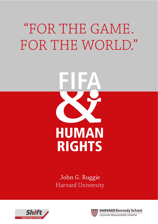## "FOR THE GAME. FOR THE WORLD."



John G. Ruggie Harvard University



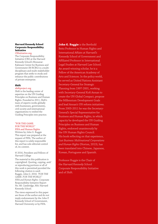#### **Harvard Kennedy School Corporate Responsibility Initiative**

#### [CRInitiative.org.](http://www.hks.harvard.edu/centers/mrcbg/programs/csri)

The Corporate Responsibility Initiative (CRI) at the Harvard Kennedy School's Mossavar-Rahmani Center for Business and Government (M-RCBG) is a multidisciplinary and multi-stakeholder program that seeks to study and enhance the public contributions of private enterprise.

#### **Shift**

#### [shiftproject.org](http://www.shiftproject.org)

Shift is the leading center of expertise on the UN Guiding Principles on Business and Human Rights. Founded in 2011, Shift's team of experts works globally with businesses, governments, civil society and international organizations to embed the Guiding Principles into practice.

#### "FOR THE GAME. FOR THE WORLD." FIFA and Human Rights

Written by John G. Ruggie This report was prepared at the request of FIFA. The author of this report is solely responsible for, and has sole editorial control of, its content.

#### © 2016, President and Fellows of Harvard College

The material in this publication is copyrighted. Quoting, copying, and/ or reproducing portions or all of this work is permitted provided the following citation is used: Ruggie, John G. 2016. *"FOR THE GAME. FOR THE WORLD." FIFA and Human Rights.* Corporate Responsibility Initiative Report No. 68. Cambridge, MA: Harvard Kennedy School.

The views expressed in this paper are those of the author and do not imply endorsement by the John F. Kennedy School of Government, Harvard University or by FIFA.

**John G. Ruggie** is the Berthold Beitz Professor in Human Rights and International Affairs at Harvard's Kennedy School of Government and Affiliated Professor in International Legal Studies at Harvard Law School. An award-winning scholar, he is a Fellow of the American Academy of Arts and Sciences. In the policy world, he served as United Nations Assistant Secretary-General for Strategic Planning from 1997-2001, working with Secretary-General Kofi Annan to create the UN Global Compact, propose the Millennium Development Goals and lead Annan's UN reform initiatives. From 2005-2011 he was the Secretary-General's Special Representative for Business and Human Rights, in which capacity he developed the UN Guiding Principles on Business and Human Rights, endorsed unanimously by the UN Human Rights Council. His book reflecting on that experience, *Just Business: Multinational Corporations and Human Rights* (Norton, 2013), has been translated into Chinese, Japanese, Korean, Portuguese and Spanish.

Professor Ruggie is the Chair of the Harvard Kennedy School Corporate Responsibility Initiative and of Shift.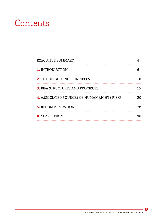### Contents

| <b>EXECUTIVE SUMMARY</b>                    |    |
|---------------------------------------------|----|
| 1. INTRODUCTION                             |    |
| <b>2.</b> THE UN GUIDING PRINCIPLES         | 10 |
| <b>3. FIFA STRUCTURES AND PROCESSES</b>     | 15 |
| 4. ASSOCIATED SOURCES OF HUMAN RIGHTS RISKS | 20 |
| <b>5. RECOMMENDATIONS</b>                   | 28 |
| <b>6.</b> CONCLUSION                        | 36 |
|                                             |    |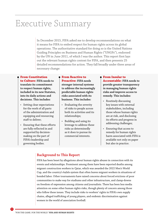## <span id="page-3-0"></span>Executive Summary

In December 2015, FIFA asked me to develop recommendations on what it means for FIFA to embed respect for human rights across its global operations. The authoritative standard for doing so is the United Nations Guiding Principles on Business and Human Rights ("UNGPs"), endorsed by the UN in June 2011, of which I was the author. This report first lays out the relevant human rights context for FIFA, and then presents 25 detailed recommendations for action. They fall broadly under three areas of necessary change:

#### **From Constitution**

**to Culture: FIFA needs to translate its commitment to respect human rights, included in its new Statutes, into its daily actions and decisions. This includes:**

- Setting clear expectations for the work of all parts of the administration and equipping and resourcing staff to deliver;
- Ensuring that these efforts are fully reflected in and supported by decisionmaking on the part of FIFA's leadership and governing bodies.

#### **From Reactive to Proactive: FIFA needs stronger internal systems to address the increasingly predictable human rights risks associated with its business. This includes:**

- Evaluating the severity of risks to people across both its activities and its relationships;
- Building and using its leverage to address these risks as determinedly as it does to pursue its commercial interests.

<sup>O</sup> **From Insular to Accountable: FIFA needs to provide greater transparency in managing human rights risks and improve access to remedy. This includes:** 

- Routinely discussing key issues with external stakeholders, including those whose human rights are at risk, and disclosing its efforts and progress in addressing challenges;
- Ensuring that access to remedy for human rights harm associated with FIFA is available not only on paper but also in practice.

#### **Background to This Report**

FIFA has been beset by allegations about human rights abuses in connection with its events and relationships. Prominent among them have been reported deaths among migrant construction workers in Qatar, which was awarded the 2022 Men's World Cup, and the country's *kafala* system that often leaves migrant workers in situations of bonded labor. Other tournaments have raised concerns about forced evictions of poor communities to make way for stadiums and other infrastructure, and clamp-downs on freedom of expression among citizens and journalists. There has been less media attention on some other human rights risks, though plenty of concern among those who follow these issues. They include risks to workers' rights in FIFA's own supply chains, alleged trafficking of young players, and endemic discrimination against women in the world of association football.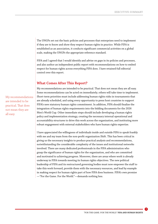The UNGPs set out the basic policies and processes that enterprises need to implement if they are to know and show they respect human rights in practice. While FIFA is established as an association, it conducts significant commercial activities on a global scale, making the UNGPs the appropriate reference standard.

FIFA and I agreed that I would identify and advise on gaps in its policies and processes, and also author an independent public report with recommendations on how to embed respect for human rights across everything FIFA does. I have retained full editorial control over this report.

#### **What Comes After This Report?**

My recommendations are intended to be practical. That does not mean they are all easy. Some recommendations can be acted on immediately; others will take time to implement. Short-term priorities must include addressing human rights risks in tournaments that are already scheduled, and using every opportunity to press host countries to support FIFA's new statutory human rights commitment. In addition, FIFA should finalize the integration of human rights requirements into the bidding documents for the 2026 Men's World Cup. Other immediate steps should include developing a human rights policy and implementation strategy, creating the necessary internal operational and accountability structures to drive this work across the organization, and instituting more robust engagement with external stakeholders who have human rights expertise.

I have appreciated the willingness of individuals inside and outside FIFA to speak frankly with me and my team from the non-profit organization Shift. This has been critical in giving us the necessary insights to produce practical analysis and recommendations, notwithstanding the considerable complexity of the issues and institutional networks involved. There are many dedicated professionals in the FIFA administration who grasp the significance of human rights for the organization, and who are committed and motivated to achieving progress. Moreover, there are areas where work is already underway in FIFA towards meeting its human rights objectives. The new political leadership of FIFA and its restructured governing bodies must now empower the staff to take this work forward, provide them with the necessary resources, and lead by example in making respect for human rights part of how FIFA does business. FIFA's own promise —"For the Game. For the World."—demands nothing less.

My recommendations are intended to be practical. That does not mean they are all easy.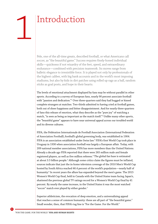## <span id="page-5-0"></span>Introduction

Pele, one of the all-time greats, described football, or what Americans call soccer, as "the beautiful game." Success requires finely-honed individual skills—quickness if not wizardry of the feet, speed, and extraordinary endurance—combined with precision teamwork. Its moves range from balletic elegance to irresistible force. It is played not only by professionals of the highest caliber, with big bank accounts and in the world's most imposing stadiums, but also by kids in dirt patches using rolled up rags as a ball, random sticks as goal posts, and hope in their hearts.

The levels of emotional attachment displayed by fans may be without parallel in other sports. According to a survey of European fans, nearly 90 percent associate football with "passion and dedication."1  [Ov](#page-37-0)er three-quarters said they had hugged or kissed complete strangers at matches. Two-thirds admitted to having cried at football games, both out of sheer happiness and bitter disappointment. And for nearly three-quarters of fans this release of emotion, what they describe as the "pure joy" of watching a match, "is seen as being as important as the match itself."2  [Un](#page-37-0)like many other sports, the "beautiful game" appears to have near universal appeal across our troubled world and its diverse cultures.

FIFA, the Fédération Internationale de Football Association (International Federation of Association Football), football's global governing body, was established in 1904. FIFA is an association established under Swiss law.<sup>3</sup> [FI](#page-37-0)FA's first World Cup took place in Uruguay in 1930 when association football was largely a European affair. Today, with 209 national member associations, FIFA has more members than the United Nations. Already a decade ago FIFA reported that there were 265 million male and female registered players, as well as five million referees.<sup>4</sup> [T](#page-37-0)he global fan base is estimated at about 3.5 billion people.<sup>5</sup> [A](#page-37-0)lthough some critics claim the figures must be inflated, sources indicate that just the in-home television coverage of the 2010 Men's World Cup hosted by South Africa reached 46.4 percent of the world's population—nearly half of humanity. $^6$  [In](#page-37-0) recent years the allure has expanded beyond the men's game. The 2015 Women's World Cup final, held in Canada with the United States team facing Japan's, shattered the previous global TV ratings record for a Women's World Cup final by 41 percent. By nearly the same increase, in the United States it was the most watched "soccer" match ever played by either gender.<sup>7</sup>

Superior athleticism, the evocation of deep emotion, and a universalizing appeal that reaches a sense of common humanity: these are all part of "the beautiful game." Small wonder, then, that FIFA's tag line is "For the Game. For the World."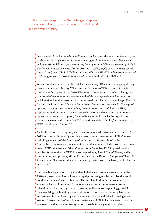<span id="page-6-0"></span>Unlike many other sports, the "beautiful game" appears to have near universal appeal across our troubled world and its diverse cultures.

> Just as football has become the world's most popular sport, the men's professional game has become the single richest. By one estimate, global professional football revenues add up to US\$33 billion a year, accounting for 40 percent of all sports revenue globally.<sup>[8](#page-37-0)</sup> FIFA's events-related revenues for the 2011-2014 cycle (largely the 2014 Men's World Cup in Brazil) were US\$5.137 billion, with an additional US\$271 million from associated marketing sources. In 2014 FIFA reported reserve funds of US\$1.5 billion.<sup>[9](#page-37-0)</sup>

> Yet despite these popular and financial achievements, "FIFA is currently going through the worst crisis of its history." These are not the words of FIFA critics. It is the first sentence in the report of the "2016 FIFA Reform Committee" —produced by a group comprised of two representatives from each of the six regional confederations into which national football associations are clustered, and chaired by Swiss lawyer François Carrard, the International Olympic Committee's former director-general[.10 T](#page-37-0)he report's opening paragraph goes on to say that, "in order to restore confidence in FIFA, significant modifications to its institutional structure and operational processes are necessary to prevent corruption, fraud, self-dealing and to make the organization more transparent and accountable."[11 In](#page-37-0) a section entitled "Candor," it concedes that, "FIFA has a long road ahead."[12](#page-37-0)

Public discussion of corruption, which was not previously unknown, exploded in May 2015, starting with the early morning arrests of seven delegates to a FIFA Congress, including members of the Executive Committee, at a five-star hotel in Zurich.<sup>[13](#page-37-0)</sup> Even as legal processes continue to unfold and the number of indictments and arrests grows, FIFA's independent Ethics Committee in December 2015 imposed a multiyear ban from football of FIFA's long-term president, Joseph "Sepp" Blatter, and his presumptive heir apparent, Michel Platini, head of the Union of European of Football Associations. The ban was due to a payment by the former to the latter, "which had no legal basis.["14](#page-37-0)

But there is a bigger story to be told than individual acts of malfeasance. From the 1970s on, association football began a rapid process of globalization, like the world political economy of which it is a part. This resulted in significant geographical expansion beyond Europe and Latin America, vast increases in revenues from television broadcasting rights due to growing audiences, corresponding growth in merchandising and branding opportunities for sponsors and other suppliers of goods and services, further fueled by national competition for and pride in hosting major events. However, as the Carrard report makes clear, FIFA lacked adequate corporate governance and internal control systems to match its new global enterprise.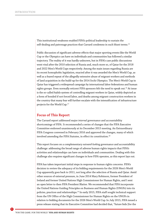<span id="page-7-0"></span>This institutional weakness enabled FIFA's political leadership to sustain the self-dealing and patronage practices that Carrard condemns in such blunt terms.<sup>[15](#page-37-0)</sup>

Public discussion of significant adverse effects that major sporting events like the World Cup or the Olympics can have on individuals and communities has followed a similar trajectory. The reality of it was hardly unknown, but in FIFA's case public discussions went viral after the 2010 selection of Russia and, much more so, of Qatar for the 2018 and 2022 Men's World Cups respectively. Among the main issues regarding Russia are its recent homophobic legislation, enacted after it was awarded the Men's World Cup, as well as a feared repeat of the allegedly extensive abuse of migrant workers and methods of land acquisition in the build-up for the 2014 Sochi Olympics. The Men's World Cup in Qatar has triggered a widespread campaign by international labor federations and human rights groups. Even normally reticent FIFA sponsors felt the need to speak out.<sup>16</sup> At issue is the so-called *kafala* system of controlling migrant workers in Qatar, widely depicted as a form of bonded if not forced labor, and deaths among migrant construction workers in the country that many fear will further escalate with the intensification of infrastructure projects for the World Cup.[17](#page-37-0)

#### **Focus of This Report**

The Carrard report addressed major *internal* governance and accountability shortcomings of FIFA. It recommended a series of changes that the FIFA Executive Committee endorsed unanimously at its December 2015 meeting. An Extraordinary FIFA Congress convened in February 2016 and approved the changes, many of which involved amending the FIFA Statutes, in effect its constitution.<sup>18</sup>

This report focuses on a complementary *outward-looking* governance and accountability challenge: addressing the broad range of adverse human rights impacts that FIFA's activities and relationships can have on individuals and communities. Dealing with this challenge also requires significant changes in how FIFA operates, as this report lays out.

FIFA has taken important initial steps in response to human rights concerns. FIFA's decision to review the adequacy of its bidding requirements for the 2026 Men's World Cup apparently goes back to 2011, not long after the selection of Russia and Qatar. Amid other sources of external pressure, in June 2014 Mary Robinson, former President of Ireland and former United Nations High Commissioner for Human Rights, and I sent an open letter to then FIFA President Blatter. We recommended that FIFA incorporate the United Nations Guiding Principles on Business and Human Rights (UNGPs) into its policies, practices and relationships[.19 I](#page-38-0)n early 2015, FIFA staff sought technical support from the UN Office of the High Commissioner for Human Rights on the UNGPs in relation to bidding documents for the 2026 Men's World Cup.In July 2015, FIFA issued a press release stating that its Executive Committee had decided that, "future bids [for the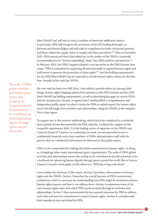<span id="page-8-0"></span>Men's World Cup] will have to meet a number of important additional criteria. In particular, FIFA will recognise the provisions of the UN Guiding Principles on Business and Human Rights and will make it compulsory for both contractual partners and those within the supply chain to comply with these provisions."[20 Th](#page-38-0)en in December 2015, FIFA announced that it had asked me, as the author of the UNGPs, to provide recommendations for "further embedding" them "into FIFA's policies and practices."[21](#page-38-0) In February 2016, the FIFA Congress adopted a new provision in the FIFA Statutes that states, "FIFA is committed to respecting all internationally recognised human rights and shall strive to promote the protection of these rights."<sup>22</sup> And the bidding requirements for the 2026 Men's World Cup are expected to include human rights criteria for the first time, broadly in line with the UNGPs.

The scale of FIFA's global activities and relationships means that acting on its commitments has the potential to be a landmark for advancing human dignity through sports around the world.

My own task has been two-fold. First, I was asked to provide advice on, among other things, human rights language planned for inclusion in the FIFA Statutes and the 2026 Men's World Cup bidding requirements, as well as identifying key gaps in current FIFA's policies and practices. Second, we agreed that I would publish a comprehensive and independent public report on what it means for FIFA to embed respect for human rights across the full range of its activities and relationships, using the UNGPs as the template. This is that report.

To support me in this massive undertaking, which had to be completed in a relatively short period of time determined by the FIFA calendar, I enlisted the support of the nonprofit organization Shift. It is the leading center of expertise on the UNGPs and I chair its Board of Trustees. In conducting our work, we were provided access to confidential materials and to key members of FIFA's administrative staff with the proviso that no confidential information be disclosed in this public report.

FIFA is to be commended for making this initial commitment to human rights. In doing so, it leapfrogs other major international sports organizations. The scale of FIFA's global activities and relationships means that acting on its commitments has the potential to be a landmark for advancing human dignity through sports around the world. But to borrow François Carrard's words again, in this effort too, "FIFA has a long road ahead."

I now outline the structure of this report. Section 2 provides a short primer on human rights and the UNGPs. Section 3 describes the overall features of FIFA's institutional architecture, which is necessary for understanding how FIFA might be involved in adverse human rights impacts and how it can address them. Section 4 enumerates some of the main human rights risks with which FIFA can be involved through its activities and relationships. Section 5 then recommends the key required measures for FIFA to address such risks and meet its commitment to respect human rights. Section 6 concludes with brief remarks on the road ahead for FIFA.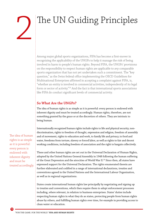## <span id="page-9-0"></span>The UN Guiding Principles

Among major global sports organizations, FIFA has become a first-mover in recognizing the applicability of the UNGPs to help it manage the risk of being involved in harm to people's human rights. Beyond FIFA, the UNGPs' provisions on the responsibility to respect human rights are applicable to *any* comparable sports organization that has not yet undertaken such a commitment. The "key question," as the Swiss federal office implementing the OECD Guidelines for Multinational Enterprises affirmed in accepting a complaint against FIFA, is, "whether an entity is involved in commercial activities, independently of its legal form or sector of activity.["23 A](#page-38-0)nd the fact is that international sports associations like FIFA do conduct significant levels of commercial activity.

#### **So What Are the UNGPs?**

The idea of human rights is as simple as it is powerful: every person is endowed with inherent dignity and must be treated accordingly. Human rights, therefore, are not something granted by the grace or at the discretion of others. They are intrinsic to being human.

Internationally recognized human rights include rights to life and physical security, nondiscrimination, rights to freedom of thought, expression and religion, freedom of assembly and of movement, rights to education and work, to family life and privacy, to food and water, freedoms from torture, slavery or forced labor, as well as rights to fair and decent working conditions, including freedom of association and the right to bargain collectively.

These and other human rights are set out in the Universal Declaration of Human Rights, adopted by the United Nations General Assembly in 1948 following the human suffering of the Great Depression and the atrocities of World War II.<sup>24</sup> Since then, all states have expressed support for the Universal Declaration. The rights enumerated therein are further elaborated and codified in a range of international declarations, treaties and conventions agreed in the United Nations and the International Labour Organization, as well as in regional organizations.

States create international human rights law principally by negotiating and signing up to treaties and conventions, which then require them to adopt enforcement processes including, where relevant, in relation to business enterprises. States' duties include respecting human rights in what they do as states, protecting people from human rights abuse by others, and fulfilling human rights over time, for example in providing access to clean water or education.

The idea of human rights is as simple as it is powerful: every person is endowed with inherent dignity and must be treated accordingly.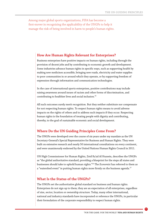<span id="page-10-0"></span>Among major global sports organizations, FIFA has become a first-mover in recognizing the applicability of the UNGPs to help it manage the risk of being involved in harm to people's human rights.

#### **How Are Human Rights Relevant for Enterprises?**

Business enterprises have positive impacts on human rights, including through the provision of decent jobs and by contributing to economic growth and development. Some industries advance human rights in specific ways, such as supporting health by making new medicines accessible, bringing new roads, electricity and water supplies to poor communities in or around which they operate, or by supporting freedom of expression through information and communication technologies.

In the case of international sports enterprises, positive contributions may include raising awareness around issues of racism and other forms of discrimination, and contributing to healthier lives and social inclusion.[25](#page-38-0)

All such outcomes surely merit recognition. But they neither substitute nor compensate for not respecting human rights. To respect human rights means to avoid adverse impacts on the rights of others and to address such impacts if they occur. Respecting human rights is the foundation of treating people with dignity and contributing, thereby, to the goal of sustainable economic and social development.

#### **Where Do the UN Guiding Principles Come From?**

The UNGPs were developed over the course of six years under my mandate as the UN Secretary-General's Special Representative for Business and Human Rights. They were built on extensive research and nearly 50 international consultations on every continent, and were unanimously endorsed by the United Nations Human Rights Council in 2011.

UN High Commissioner for Human Rights, Zeid Ra'ad Al Hussein, describes the UNGPs as "the global authoritative standard, providing a blueprint for the steps all states and businesses should take to uphold human rights."[26 T](#page-38-0)he *Economist* has referred to them as a "watershed event" in putting human rights more firmly on the business agenda.<sup>[27](#page-38-0)</sup>

#### **What Is the Status of the UNGPs?**

The UNGPs set the authoritative global standard on business and human rights. Enterprises do not sign up to them; they are an expectation of all enterprises, regardless of size, sector, location or ownership structure. Today, many other international, national and industry standards have incorporated or reference the UNGPs, in particular their formulation of the corporate responsibility to respect human rights.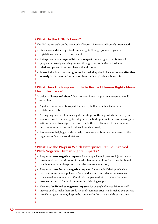#### **What Do the UNGPs Cover?**

The UNGPs are built on the three-pillar "Protect, Respect and Remedy" framework:

- States have a **duty to protect** human rights through policies, regulation, legislation and effective enforcement;
- Enterprises have a **responsibility to respect** human rights: that is, to avoid people's human rights being harmed through their activities or business relationships, and to address harms that do occur;
- Where individuals' human rights are harmed, they should have **access to effective remedy**: both states and enterprises have a role to play in enabling this.

#### **What Does the Responsibility to Respect Human Rights Mean for Enterprises?**

In order to **"know and show"** that it respect human rights, an enterprise should have in place:

- A public commitment to respect human rights that is embedded into its institutional culture;
- An ongoing process of human rights due diligence through which the enterprise assesses risks to human rights, integrates the findings into its decision-making and actions in order to mitigate the risks, tracks the effectiveness of these measures, and communicates its efforts internally and externally;
- Processes for helping provide remedy to anyone who is harmed as a result of the organization's actions or decisions.

#### **What Are the Ways in Which Enterprises Can Be Involved With Negative Human Rights Impacts?**

- They may **cause negative impacts**, for example if employees are injured due to unsafe working conditions, or if they displace communities from their lands and livelihoods without due process and adequate compensation;
- They may **contribute to negative impacts**, for example if their purchasing practices incentivize suppliers to force workers into unpaid overtime to meet contractual requirements, or if multiple companies drain or pollute the water resources essential for local communities' drinking supply;
- They may **be linked to negative impacts**, for example if forced labor or child labor is used to make their products, or if customer privacy is breached by a service provider or government, despite the company's efforts to avoid these outcomes.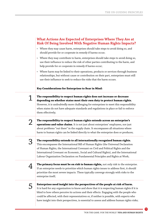| What Actions Are Expected of Enterprises Where They Are at        |  |
|-------------------------------------------------------------------|--|
| <b>Risk Of Being Involved With Negative Human Rights Impacts?</b> |  |

- Where they may cause harm, enterprises should take steps to avoid doing so, and should provide for or cooperate in remedy if harms occur;
- Where they may contribute to harm, enterprises should take steps to avoid doing so, use their influence to reduce the risk of other parties contributing to the harm, and help provide for or cooperate in remedy if harms occur;
- Where harm may be linked to their operations, products or services through business relationships, but without cause or contribution on their part, enterprises must still use their influence to seek to reduce the risks that the harm occurs.

**Key Considerations for Enterprises to Bear in Mind:**

1

**The responsibility to respect human rights does not increase or decrease depending on whether states meet their own duty to protect human rights.**  However, it is undoubtedly more challenging for enterprises to meet this responsibility when states do not have adequate standards and regulations in place or fail to enforce them effectively;

**The responsibility to respect human rights extends across an enterprise's operations and value chains.** It is not just about enterprises' employees, nor just about problems "out there" in the supply chain. It encompasses all situations where harm to human rights can be linked directly to what the enterprise does or produces;

:3

2

**The responsibility extends to all internationally recognized human rights.** This encompasses the International Bill of Human Rights (the Universal Declaration of Human Rights, the International Covenant on Civil and Political Rights and the International Covenant on Economic, Social and Cultural Rights), and the International Labour Organization Declaration on Fundamental Principles and Rights at Work;

4

**The primary focus must be on risk to human rights,** not only risk to the enterprise. If an enterprise needs to prioritize which human rights issues to address first, it should prioritize the most severe impacts. These typically converge strongly with risks to the enterprise itself;

5

**Enterprises need insight into the perspectives of the people at risk of harm.**

It is hard for any organization to know and show that it is respecting human rights if it is blind to how others perceive its actions and their effects. Engaging with the people who could be affected, with their representatives or, if neither is possible, with experts who have insight into their perspectives, is essential to assess and address human rights risks;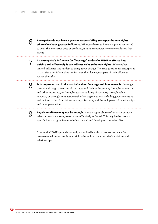**Enterprises do not have a greater responsibility to respect human rights where they have greater influence.** Wherever harm to human rights is connected to what the enterprise does or produces, it has a responsibility to try to address that harm;

**An enterprise's influence (or "leverage" under the UNGPs) affects how quickly and effectively it can address risks to human rights.** Where it has limited influence it is hardest to bring about change. The first question for enterprises in that situation is how they can increase their leverage as part of their efforts to reduce the risks;

8

6

7

**It is important to think creatively about leverage and how to use it.** Leverage can come through the terms of contracts and their enforcement; through commercial and other incentives, or through capacity-building of partners; through public advocacy or through joint action with other organizations, including governments as well as international or civil society organizations; and through personal relationships and quiet persuasion;

9

**Legal compliance may not be enough.** Human rights abuses often occur because relevant laws are absent, weak or not effectively enforced. This may be the case on specific human rights issues in industrialized and developing countries alike.

In sum, the UNGPs provide not only a standard but also a process template for how to embed respect for human rights throughout an enterprise's activities and relationships.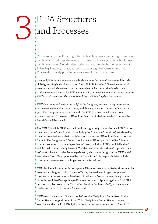# <span id="page-14-0"></span>THEA Structures

To understand how FIFA might be involved in adverse human rights impacts and how it can address them, one first needs to have a grasp on what it does and how it works. No brief description can capture the full complexities of FIFA's legal and organizational constructs as a global sports enterprise. This section merely provides an overview of the main features.

As noted, FIFA is an association established under the laws of Switzerland. It is the global governing body of association football. FIFA includes 209 national football associations, which make up six continental confederations. Membership in a confederation is required for FIFA membership, but national member associations are FIFA's actual members. The Men's World Cup is FIFA's flagship tournament.

FIFA's "supreme and legislative body" is the Congress, made up of representatives of the national member associations, each having one vote. It meets at least once a year. The Congress adopts and amends the FIFA Statutes, which are, in effect, its constitution. It also elects FIFA's President, and it decides in which country the World Cup will be staged.

The FIFA Council is FIFA's strategic and oversight body. Under the new FIFA Statutes, members of the Council (which is replacing the Executive Committee) are elected by member associations at their confederation congresses. FIFA's President chairs the Council. The Congress and Council are known as FIFA's "political bodies." Several committees exist that are independent of them, including FIFA's "judicial bodies," which are discussed briefly below. A Zurich-based administration of approximately 400 staff is headed by the Secretary-General, who is now designated as FIFA's chief executive officer. He is appointed by the Council, and his responsibilities include day-to-day management and implementation functions.

FIFA also has a dispute resolution system. Disputes involving confederations, member associations, leagues, clubs, players, officials, licensed match agents or players' intermediaries must be submitted to arbitration and "recourse to ordinary courts of law is prohibited" except in specific circumstances.<sup>28</sup> Appeals against a final FIFA decision may be taken to the Court of Arbitration for Sport (CAS), an independent institution based in Lausanne, Switzerland.

FIFA's own independent "judicial bodies" are the Disciplinary Committee, Ethics Committee and Appeal Committee[.29 T](#page-38-0)he Disciplinary Committee can impose sanctions under the FIFA Disciplinary Code, in particular in relation to "on-pitch"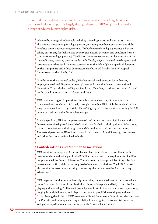<span id="page-15-0"></span>FIFA conducts its global operations through an extensive array of regulations and contractual relationships. It is largely through these that FIFA might be involved with a range of adverse human rights risks.

behavior by a range of individuals including officials, players, and spectators. It can also impose sanctions against legal persons, including member associations and clubs. Penalties can include warnings or fines (for both natural and legal persons), a ban on taking part in any football-related activity (for natural persons), and expulsion from a competition (for legal persons). The Ethics Committee oversees implementation of the Code of Ethics, covering certain conduct of officials, players, licensed match agents and intermediaries that has little or no connection to the field of play. Appeals of decisions by the Disciplinary and Ethics Committees may be heard first by the FIFA Appeal Committee and then by the CAS.

In addition to these judicial bodies, FIFA has established a system for addressing employment-related disputes between players and clubs that have an international dimension. This includes the Dispute Resolution Chamber, an arbitration tribunal based on the equal representation of players and clubs.

FIFA conducts its global operations through an extensive array of regulations and contractual relationships. It is largely through these that FIFA might be involved with a range of adverse human rights risks. Identifying any such risks requires scanning the full extent of its direct and indirect relationships.

Broadly speaking, FIFA encompasses two related but distinct sets of global networks. One connects the day-to-day world of association football, including the confederations, national associations and, through them, clubs and associated entities and actors. The second pertains to FIFA's international tournaments. Brand licensing, procurement and other functions are involved in both.

#### **Confederations and Member Associations**

FIFA requires the adoption of statutes by member associations that are aligned with certain fundamental principles in the FIFA Statutes and with the requirements of a FIFA template called the Standard Statutes. These lay out the basic principles of organization, governance and financial controls required of member associations. The FIFA Statutes also require the associations to adopt a statutory clause that provides for mandatory arbitration.[30](#page-38-0)

FIFA helps set, but does not unilaterally determine, the so-called laws of the game, which range from specifications of the physical attributes of the pitch and ball, to the rules for playing and refereeing.[31 FI](#page-38-0)FA itself promulgates a host of other standards and regulations, ranging from club licensing and players' transfers, to prohibitions of doping and match fixing. Among the duties of FIFA's newly established Governance Committee, which advises the Council, is addressing social responsibility, human rights, environmental protection and gender equality in matters connected with FIFA and its activities.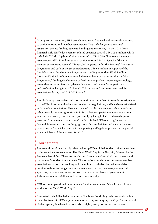<span id="page-16-0"></span>In support of its mission, FIFA provides extensive financial and technical assistance to confederations and member associations. This includes general financial assistance, project funding, capacity building and mentoring. In the 2011-2014 financial cycle FIFA's development-related expenses totaled US\$1,052 million, which included a "World Cup bonus" that amounted to US\$1.05 million to each member association and US\$7 million to each confederation[.32](#page-38-0) In 2014, each of the 209 member associations received US\$250,000 in grants under the Financial Assistance Programme and each of the six confederations US\$5.5 million in support of the Confederations' Development Programmes, totaling more than US\$85 million. A further US\$33.6 million was provided to member associations under the "Goal Programme," funding development of facilities and pitches, improving technology, strengthening administration, developing youth and women's competitions, and professionalizing football. Some 2,000 courses and seminars were held for associations during the 2011-2014 period.

Prohibitions against racism and discrimination on a number of grounds are stipulated in the FIFA Statutes and other core policies and regulations, and have been prioritized with member associations. However, beyond that little is known at this time about other possible human rights risks in FIFA's relationship with member associations whether as cause of, contributor to, or simply by being linked to adverse impacts resulting from member associations' conduct. Indeed, FIFA's Acting Secretary General, Markus Kattner, not long ago noted "major deficiencies" even in the most basic areas of financial accountability, reporting and legal compliance on the part of some recipients of development funds.<sup>33</sup>

#### **Tournaments**

The second set of relationships that makes up FIFA's global football universe involves its international tournaments. The Men's World Cup is the flagship, followed by the Women's World Cup. There are an additional seven men's football tournaments and two women's football tournaments. This set of relationships encompasses member associations but reaches well beyond them. It also includes the various entities required to host and stage the tournaments, contractors, licensees, commercial sponsors, broadcasters, as well as host cities and other levels of government. This involves a mix of direct and indirect relationships.

FIFA sets out operational requirements for all tournaments. Below I lay out how it works for the Men's World Cup.[34](#page-39-0)

Interested and eligible bidders submit a "bid book," outlining their proposal and how they plan to meet FIFA's requirements for hosting and staging the Cup. The successful bidder typically is selected between six to eight years prior to the tournament.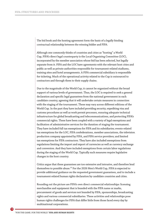<span id="page-17-0"></span>The bid book and the hosting agreement form the basis of a legally binding contractual relationship between the winning bidder and FIFA.

Although one commonly thinks of countries and cities as "hosting" a World Cup, FIFA's direct legal counterparty is the Local Organising Committee (LOC), incorporated by the member association whose bid has been selected, but legally separate from it. FIFA and the LOC have agreements with the relevant host cities and public as well as private authorities responsible for tournament-related stadiums, training sites and hotel arrangements. A FIFA commercial subsidiary is responsible for ticketing. Much of the operational activity related to the Cup is outsourced to contractors and through them to their supply chains.

Due to the magnitude of the World Cup, it cannot be organized without the broad support of various levels of government. Thus, the LOC is required to seek a general declaration and specific legal guarantees from the national government in each candidate country, agreeing that it will undertake certain measures in connection with the staging of the tournament. These may vary across different editions of the World Cup. In the past they have included providing security, expediting visa and customs procedures as well as work permit processes, ensuring adequate technical infrastructure for global broadcasting and telecommunications, and protecting FIFA's commercial rights. These have been coupled with a variety of legal exemptions and facilitation of administrative services for the duration of staging the tournament. They have included full tax exemptions for FIFA and its subsidiaries; events-related tax exemptions for the LOC, FIFA confederations, member associations, the television production company appointed by FIFA, and FIFA service providers; and limited tax exemptions for FIFA contractors. They have also included exemptions from regulations limiting the import and export of currencies as well as currency exchange and conversion. And they have included exemptions from certain labor regulations during the staging of the World Cup. Typically such measures require legislative changes in the host country.

Critics argue that these guarantees are too extensive and intrusive, and therefore lend themselves to possible abuse.[35 Fo](#page-39-0)r the 2026 Men's World Cup, FIFA is expected to provide additional guidance on the requested government guarantees, and to include a tournament-related human rights declaration by candidate countries and cities.

Rounding out the picture are FIFA's own direct commercial relationships: licensing merchandise and equipment that is branded with the FIFA name or marks, procurement of goods and services not branded by FIFA, sponsorships, broadcasting rights and various commercial subsidiaries. These activities and relationships pose human rights challenges for FIFA that differ little from those faced every day by multinational corporations.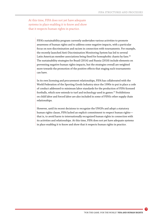<span id="page-18-0"></span>At this time, FIFA does not yet have adequate systems in place enabling it to know and show that it respects human rights in practice.

> FIFA's sustainability program currently undertakes various activities to promote awareness of human rights and to address some negative impacts, with a particular focus on non-discrimination and racism in connection with tournaments. For example, the recently launched Anti-Discrimination Monitoring System has led to several Latin American member associations being fined for homophobic chants by fans.<sup>36</sup> The sustainability strategies for Brazil (2014) and Russia (2018) include elements on preventing negative human rights impacts, but the strategies overall are weighted more towards the promotion of the positive effects that staging such tournaments can have.

> In its own licensing and procurement relationships, FIFA has collaborated with the World Federation of the Sporting Goods Industry since the 1990s to put in place a code of conduct addressed to minimum labor standards for the production of FIFA-licensed footballs, which now extends to turf and technology used in games.<sup>37</sup> Prohibitions on child labor and forced labor are also included in some of FIFA's other supply chain relationships.

However, until its recent decisions to recognize the UNGPs and adopt a statutory human rights clause, FIFA lacked an explicit commitment to respect human rights that is, to avoid harm to internationally recognized human rights in connection with its activities and relationships. At this time, FIFA does not yet have adequate systems in place enabling it to know and show that it respects human rights in practice.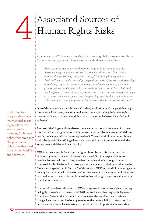# <span id="page-19-0"></span>Associated Sources of<br>Human Rights Risks

At a February 2016 event addressing the value of global sports events, United Nations Secretary-General Ban Ki-moon made these observations:

*Sport has a tremendous—and in many ways unique—power to unite. So-called 'mega sports events', such as the World Cup and the Olympic and Paralympic Games, can spread that spirit of unity in mega-ways… Their influence can also extend far beyond the world of sports. With planning and vision, mega sport events can advance social development, economic growth, educational opportunity and environmental protection… This will not happen on its own. Ample experience has shown that the benefits of mega sport events have not always been long-lasting, sustainable or widely shared. It is therefore crucially important that we learn the lessons of this history.*[38](#page-39-0)

One of the lessons that must be learned is that, in addition to all the good that major international sports organizations and events can do, including for human rights, they invariably also pose human rights risks that need to be better identified and addressed.

The term "risk" is generally understood to mean exposure to the chance of harm or loss. In the human rights context, it is necessary to consider an enterprise's risks to people, not simply risks to the enterprise itself. The responsibility to respect human rights begins with identifying where such risks might exist in connection with the enterprise's activities and relationships.

FIFA is not responsible for all human rights abuses by organizations it works with, or any country in which its events are staged. But it is responsible for its own involvement with such risks, whether the connection is through its events, commercial subsidiaries and business partners, member association or other parties. Moreover, as spelled out in Section 2 of this report, FIFA's responsibility to mitigate or remedy harms varies with the nature of its involvement in them: whether FIFA causes or contributes to them, or is simply linked to them through its relationships without contribution on its part.

In some of these latter situations, FIFA's leverage to address human rights risks may be highly constrained. However, the UNGPs make it clear that responsibility stems from being *linked* to the risk, not from the current degree of *leverage* to achieve change. Leverage is a tool to be employed once the responsibility to take action has been identified. In such circumstances, one of the most important lessons is about

In addition to all the good that major international sports organizations and events can do, including for human rights, they invariably also pose human rights risks that need to be better identified and addressed.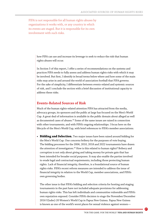<span id="page-20-0"></span>FIFA is not responsible for all human rights abuses by organizations it works with, or any country in which its events are staged. But it is responsible for its own involvement with such risks.

> how FIFA can use and increase its leverage to seek to reduce the risk that human rights abuses will occur.

In Section 5 of this report, I offer a series of recommendations on the systems and practices FIFA needs to fully assess and address human rights risks with which it may be involved. But first, I identify in broad terms below where and how some of the main risks may arise in and around the world of association football that FIFA governs. For the sake of simplicity, I differentiate between events-related and systemic sources of risk, and I conclude the section with a brief discussion of institutional capacity to address these risks.

#### **Events-Related Sources of Risk**

Much of the human rights-related attention FIFA has attracted from the media, advocacy groups, its sponsors and the public at large has focused on the Men's World Cup. A great deal of information is available in the public domain about alleged as well as documented cases of abuses[.39 S](#page-39-0)ome of the same issues are raised in connection with other tournaments, and with FIFA's ongoing relationships. I focus here on the lifecycle of the Men's World Cup, with brief references to FIFA's member associations.

**• Bidding and Selection.** Two major issues have been raised around bidding for the Men's World Cup. One concerns bribery for the purposes of vote buying. The bidding processes for the 2006, 2010, 2018 and 2022 tournaments have drawn the attention of investigators.<sup>40</sup> How is this related to human rights? Bribery and corruption is not only about giving and taking money for private gain that has been intended for broader social purposes. It may also enable the parties involved to evade legal and contractual requirements, including those protecting human rights. Lack of financial integrity, therefore, is a foundational source of human rights risks. FIFA's recent reform measures are intended to address the issue of financial integrity in relation to the World Cup, member associations, and FIFA's own governing bodies.

The other issue is that FIFA's bidding and selection criteria for hosting and staging tournaments in the past have not included adequate provisions for addressing human rights risks. This has left individuals and communities vulnerable and FIFA's own reputation exposed. Consider FIFA's decision to stage the November/December 2016 U[nder]-20 Women's World Cup in Papua New Guinea. Papua New Guinea is known as one of the world's worst places for sexual violence against women—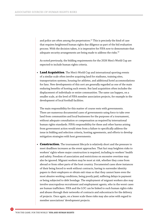<span id="page-21-0"></span>and police are often among the perpetrators.<sup>41</sup> This is precisely the kind of case that requires heightened human rights due diligence as part of the bid evaluation process. With the decision taken, it is imperative for FIFA now to demonstrate that adequate security arrangements are being made to address the risks.<sup>42</sup>

As noted previously, the bidding requirements for the 2026 Men's World Cup are expected to include human rights criteria.

**• Land Acquisition**. The Men's World Cup and international sporting events of a similar scale often involve acquiring land for stadiums, training sites, transportation systems, housing for athletes, and additional hotel accommodations for fans. New developments of this sort are generally regarded as one of the main enduring benefits of hosting such events. But land acquisition often includes the displacement of individuals or entire communities. The same can happen, on a smaller scale, at the level of FIFA member association projects, for example in the development of local football facilities.

The main responsibility for this matter of course rests with governments. There are numerous documented cases of governments using force to take over land from communities and local businesses for the purposes of a tournament, without adequate consultation or compensation as required by international human rights standards. FIFA's responsibility for these and other harms arising from government action would stem from a failure to specifically address the issue in bidding and selection criteria, hosting agreements, and efforts to develop mitigation strategies with host governments.

**• Construction.** The tournament lifecycle is relatively short and the pressure to meet deadlines increases as the event approaches. That fact may heighten risks to workers' rights where major construction is required, including to workers' health and safety. Freedom of association and restrictions on excessive overtime may also be ignored. Migrant workers may be most at risk, whether they come from abroad or from other parts of the host country. Documented cases show instances of their being forced to work without contracts, having to surrender identity papers to their employers or obtain exit visas so that they cannot leave even the most abusive working conditions, being poorly paid, suffering delays in payment or being subjected to debt bondage. The employment of migrant workers also may involve unscrupulous recruitment and employment agents, who in the worst cases are human traffickers. FIFA and the LOC can be linked to such human rights risks and abuses through their networks of contracts and subcontracts for the delivery of projects. Once again, on a lesser scale these risks may also arise with regard to member associations' development projects.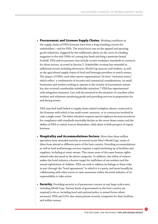<span id="page-22-0"></span>**• Procurement and Licensee Supply Chains.** Working conditions in the supply chains of FIFA licensees have been a long-standing concern for stakeholders—and for FIFA. The initial focus was on the apparel and sporting goods industries, triggered by the emblematic photo on the cover of a leading magazine in the mid-1990s of a young boy hand-stitching a premium-brand football. FIFA and its partners now include certain workplace standards in contracts for those sectors, as noted in Section 3. Stakeholder scrutiny has extended to additional sectors including electronics, World Cup mascots and trinkets, as well as the agricultural supply chains of food and beverage providers at match venues. The impact of FIFA's (and other sports organizations') de facto "exclusion zones," which reflect a combination of security and commercial considerations, on small businesses and vendors seeking to operate in the vicinity of tournament venues has also received considerable stakeholder attention.<sup>43</sup> FIFA has experimented with mitigation measures. Less well documented is the situation of countless other workers and volunteers producing goods and providing services in preparation for and during events.

FIFA may find itself linked to supply chain related workplace abuses connected to the licensees with which it has multi-event contracts, or to contractors involved in only a single event. The latter situation requires special vigilance because incentives for compliance with standards inevitably decline as the event draws nearer and the ability of FIFA to switch sources diminishes, while there is little prospect of repeat business.

- **• Hospitality and Accommodations Sectors.** More than three million spectators have attended matches at several recent Men's World Cups, many of them from abroad or different parts of the host country. Providing accommodations as well as food and beverage services requires a rapid ratcheting up of facilities and suppliers, including at event venues. This raises some of the same human rightsrelated risks discussed in the above categories. In addition, the influx of visitors makes the hotel industry a known target for traffickers of sex workers and the sexual exploitation of children. FIFA can seek to address its linkage to these risks in part through the "hotel agreements" to which it is a party, and more broadly by collaborating with other actors to raise awareness within the hotel industry of its responsibility to take action.
- **• Security.** Providing security is of paramount concern at any large-scale event, including World Cups. Various levels of government in the host country are required to do so, including local and national police or armed forces where necessary. FIFA and LOCs also retain private security companies for their facilities and within venues.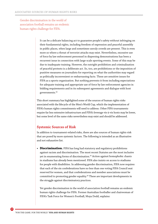<span id="page-23-0"></span>Gender discrimination in the world of association football remains an endemic human rights challenge for FIFA.

> It can be a delicate balancing act to guarantee people's safety without infringing on their fundamental rights, including freedom of expression and peaceful assembly in public places, when large and sometimes unruly crowds are present. This is even more so where a threat of terrorist attacks may exist. Nevertheless, excessive use of force by law enforcement personnel in dispersing demonstrations has been a recurrent issue in connection with large-scale sporting events. Some of this may be due to inadequate training. However, the outright prohibition and criminalization of peaceful protests is a deliberate act. So, too, are prohibitions or the imposition of punitive measures on journalists for reporting on what the authorities may regard as politically inconvenient or embarrassing facts. These are sensitive issues for FIFA as a sports organization. But nothing prevents it from including expectations for adequate training and appropriate use of force by law enforcement agencies in bidding requirements and in its subsequent agreements and dialogue with host governments[.44](#page-39-0)

This short summary has highlighted some of the sources of human rights risks associated with the lifecycle of the Men's World Cup, which the implementation of FIFA's human rights commitments will need to address. Other FIFA tournaments require far less extensive infrastructure and FIFA's leverage vis-à-vis hosts may be lower, but some level of the same risks nevertheless may exist and should be addressed.

#### **Systemic Sources of Risk**

In addition to tournament-related risks, there are also sources of human rights risk that are posed by more systemic factors. The following is intended as an illustrative and not exhaustive list.

**• Discrimination.** FIFA has long had statutory and regulatory prohibitions against racism and discrimination. The most recent Statutes are the most inclusive yet in enumerating forms of discrimination.<sup>45</sup> Action against homophobic chants in stadiums has already been mentioned. FIFA also insists on access to stadiums for people with disabilities. In addressing gender discrimination, FIFA now requires that each of the six confederations have no less than one voting FIFA Council seat reserved for women, and that confederations and member associations must be committed to promoting gender equality[.46 T](#page-39-0)hese are important developments in the struggle against discriminatory practices.

Yet gender discrimination in the world of association football remains an endemic human rights challenge for FIFA. Former Australian footballer and chairwoman of FIFA's Task Force for Women's Football, Moya Dodd, explains: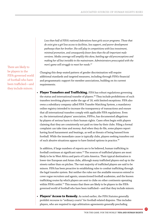<span id="page-24-0"></span>*Less than half of FIFA's national federations have girls soccer programs. Those that do exist give a girl less access to facilities, less support, and poorer development pathways than her brother. She will play in competitions with less investment, minimal promotion, and consequently fewer fans than the all-important male versions. Media coverage will amplify this skew, battling age-old preconceptions and making her all but invisible in the mainstream. Administrators preoccupied with the men's game will struggle to meet her needs.*[47](#page-39-0)

Changing this deep-seated pattern of gender discrimination will require additional standards and targeted measures, including through FIFA's financial and programmatic support for member associations, building on its current requirements.

**• Player Transfers and Trafficking.** FIFA has robust regulations governing the status and international transfer of players.<sup>48</sup> They include prohibitions of such transfers involving players under the age of 18, with limited exceptions. FIFA also owns a subsidiary company called FIFA Transfer Matching System, a mandatory online registry intended to increase the transparency of transactions and ensure that all international transfers comply with applicable FIFA regulations. Even so, the international players' association, FIFPro, has documented allegations by players of serious harm to their human rights. Cases often begin with players claiming that they are consistently not paid on time by their clubs. Filing a formal complaint can take time and money. And when they do file, some players report having faced harassment and beatings, as well as threats of being banned from football. While the immediate cause is typically clubs, players seeking transfers out of such abusive situations appear to have limited options in practice.<sup>[49](#page-39-0)</sup>

In addition, if large numbers of reports are to be believed, human trafficking in football continues at significant rates.<sup>50</sup> The sources of trafficked players are most likely to be in West Africa and parts of Latin America. Their typical destination is lower-tier European and Asian clubs, although many trafficked players end up in the streets rather than on pitches. The vast majority of trafficked players are said to be minors. FIFA has been proactive in establishing rules to combat trafficking through the legal transfer system. But neither the rules nor the available resources extend to cover rogue recruiters and agents, unsanctioned football academies, and the known trafficking routes by which players are sent to clubs on other continents operating within FIFA's ambit.<sup>51</sup> This means that there are likely to be players in the FIFAgoverned world of football who have been trafficked—and that they include minors.

**• Players' Access to Remedy.** As noted earlier, the FIFA Statutes generally prohibit recourse to "ordinary courts" for football-related disputes. This includes players, who are required to sign arbitration agreements generally precluding

There are likely to be players in the FIFA-governed world of football who have been trafficked—and they include minors.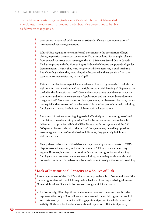<span id="page-25-0"></span>If an arbitration system is going to deal effectively with human rights-related complaints, it needs certain procedural and substantive protections to be able to deliver on that promise.

> their access to national public courts or tribunals. This is a common feature of international sports organizations.

While FIFA's regulations contain formal exceptions to the prohibition of legal claims, in practice the system seems more like a closed loop. For example, players from several countries participating in the 2015 Women's World Cup in Canada filed a complaint with the Human Rights Tribunal of Ontario on grounds of gender discrimination. Clearly, they were not *prevented* from accessing a public tribunal. But when they did so, they were allegedly threatened with suspension from their teams and from participating in the Cup.<sup>52</sup>

This is a complex issue, especially as it relates to human rights—which include the right to effective remedy as well as the right to a fair trial. Leaving all disputes to be settled in the domestic courts of 209 member associations would wreak havoc on common standards and consistency of application, and quite possibly undermine the game itself. Moreover, an arbitration system may be able to resolve many issues more quickly than courts and may be preferable on other grounds as well, including for players victimized by their own clubs or national associations.

But if an arbitration system is going to deal effectively with human rights-related complaints, it needs certain procedural and substantive protections to be able to deliver on that promise. While the FIFA dispute resolution system and the CAS' 300-plus arbitrators who sit at the peak of the system may be well equipped to resolve a great variety of football-related disputes, they generally lack human rights expertise.

Finally there is the issue of the deference long shown by national courts to FIFA's dispute resolution system, including decisions of CAS, as a private regulatory regime. However, in cases that raise significant human rights issues, the ability for players to access effective remedy—including, where they so choose, through domestic courts or tribunals—must be a real and not merely a theoretical possibility.

#### **Lack of Institutional Capacity as a Source of Risk**

A core requirement of the UNGPs is that an enterprise be able to "know and show" the human rights risks with which it may be involved, and how they are being addressed. Human rights due diligence is the process through which it can do so.

• Institutionally, FIFA plays three related roles at one and the same time. It is the representative body of football associations around the world, it governs on-pitch and certain off-pitch conduct, and it engages in a significant level of commercial activity. All three roles involve standards and regulation. FIFA acts vigorously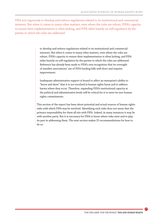FIFA acts vigorously to develop and enforce regulations related to its institutional and commercial interests. But when it comes to many other matters, even where the rules are robust, FIFA's capacity to ensure their implementation is often lacking, and FIFA relies heavily on self-regulation by the parties to which the rules are addressed.

> to develop and enforce regulations related to its institutional and commercial interests. But when it comes to many other matters, even where the rules are robust, FIFA's capacity to ensure their implementation is often lacking, and FIFA relies heavily on self-regulation by the parties to which the rules are addressed. Reference has already been made to FIFA's own recognition that its oversight of member associations' use of FIFA funding falls well short and requires improvement.

> Inadequate administrative support is bound to affect an enterprise's ability to "know and show" that it is not involved in human rights harm and to address harms where they occur. Therefore, expanding FIFA's institutional capacity at the political and administrative levels will be critical for it to meet its new human rights commitments.

This section of the report has been about potential and actual sources of human rights risks with which FIFA may be involved. Identifying such risks does not mean that the primary responsibility for them all sits with FIFA. Indeed, in many instances it may lie with another party. But it is necessary for FIFA to know where risks exist and to play its part in addressing them. The next section makes 25 recommendations for how to do so.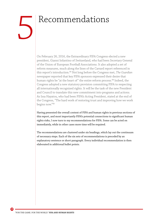## <span id="page-27-0"></span>Recommendations 5

On February 26, 2016, the Extraordinary FIFA Congress elected a new president, Gianni Infantino of Switzerland, who had been Secretary General of the Union of European Football Associations. It also adopted a set of reform measures, much along the lines of the Carrard report referenced in this report's introduction.<sup>53</sup> [No](#page-40-0)t long before the Congress met, *The Guardian* newspaper reported that key FIFA sponsors expressed their desire that human rights be "at the heart of" the entire reform process.<sup>54</sup> [I](#page-40-0)ndeed, the Congress adopted a new statutory provision committing FIFA to respecting all internationally recognized rights. It will be the task of the new President and Council to translate this new commitment into programs and actions. As Issa Hayatou, who had been FIFA's Acting President, stated at the end of the Congress, "The hard work of restoring trust and improving how we work begins now."[55](#page-40-0)

Having presented the overall context of FIFA and human rights in previous sections of this report, and most importantly FIFA's potential connections to significant human rights risks, I now turn to my recommendations for FIFA. Some can be acted on immediately, while in other cases more time will be required.

The recommendations are clustered under six headings, which lay out the continuum of necessary steps. Each of the six sets of recommendations is preceded by an explanatory sentence or short paragraph. Every individual recommendation is then elaborated in additional bullet points.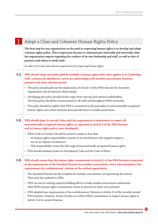|      | Adopt a Clear and Coherent Human Rights Policy                                                                                                                                                                                                                                                                                                    |
|------|---------------------------------------------------------------------------------------------------------------------------------------------------------------------------------------------------------------------------------------------------------------------------------------------------------------------------------------------------|
|      | The first step for any organization on the path to respecting human rights is to develop and adopt<br>a human rights policy. This is important because it communicates internally and externally what<br>the organization expects regarding the conduct of its own leadership and staff, as well as that of<br>partners and others it works with. |
|      | In order to set clear and coherent expectations for respecting human rights:                                                                                                                                                                                                                                                                      |
| 1.1. | FIFA should adopt and make publicly available a human rights policy that applies to its leadership,<br>staff, commercial subsidiaries, and to its relationships with member associations, business<br>partners and other relevant parties.                                                                                                        |
|      | • The policy should spell out the implications of Article 3 of the FIFA Statutes for the entire<br>organization and its business relationships;                                                                                                                                                                                                   |
|      | • Developing the policy should involve input from internal and external stakeholders.<br>The final policy should be communicated to all staff and throughout FIFA's networks;                                                                                                                                                                     |
|      | The policy should be explicit that FIFA is committed to the principles of internationally recognized<br>human rights even where domestic laws provide fewer or weaker protections.                                                                                                                                                                |
|      | 1.2. FIFA should align its several Codes with the organization's commitment to respect all<br>internationally recognized human rights, as expressed in Article 3 of the FIFA Statutes<br>and its human rights policy (once developed).                                                                                                            |
|      | · FIFA's Code of Conduct should be revised to make it clear that:<br>- Its human rights responsibility is based on its involvement with negative impacts,<br>not on its "sphere of influence;"<br>This responsibility covers the full range of internationally recognized human rights;                                                           |
|      | • FIFA should similarly review its Disciplinary Code and the Code of Ethics.                                                                                                                                                                                                                                                                      |
|      | <b>1.3.</b> FIFA should ensure that the human rights commitment in Article 3 of the FIFA Statutes is mirrored<br>in the requirements of the Standard Statutes for member associations, and is also extended to the<br>requirements for confederations' statutes at the earliest opportunity.                                                      |
|      | The Standard Statutes are the template for member associations' own governing documents.<br>$\bullet$<br>They were last updated in 2005;                                                                                                                                                                                                          |
|      | FIFA can use its existing capacity building efforts to help member associations understand<br>٠<br>what FIFA's human rights commitment means in practice for their own activities;                                                                                                                                                                |
|      | FIFA adopted new requirements of the confederations' Statutes in Article 23 of the recently revised<br>FIFA Statutes. However, Article 23 does not reflect FIFA's commitment to respect human rights in<br>Article 3 of its revised Statutes.                                                                                                     |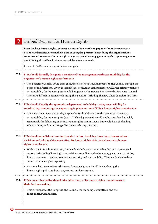|      | Embed Respect for Human Rights                                                                                                                                                                                                                                                                                                                                                                                                                                                                                                                          |
|------|---------------------------------------------------------------------------------------------------------------------------------------------------------------------------------------------------------------------------------------------------------------------------------------------------------------------------------------------------------------------------------------------------------------------------------------------------------------------------------------------------------------------------------------------------------|
|      | Even the best human rights policy is no more than words on paper without the necessary<br>actions and incentives to make it part of everyday practice. Embedding the organization's<br>commitment to respect human rights requires proactive engagement by the top management<br>and FIFA's political levels where critical decisions are made.                                                                                                                                                                                                         |
|      | In order to further embed respect for human rights:                                                                                                                                                                                                                                                                                                                                                                                                                                                                                                     |
| 2.1. | FIFA should formally designate a member of top management with accountability for the<br>organization's human rights performance.                                                                                                                                                                                                                                                                                                                                                                                                                       |
|      | The Secretary General is the chief executive officer of FIFA and reports to the Council through the<br>office of the President. Given the significance of human rights risks for FIFA, the primary point of<br>accountability for human rights should be a person who reports directly to the Secretary General.<br>There are different options for locating this position, including the new Chief Compliance Officer.                                                                                                                                 |
|      | <b>2.2.</b> FIFA should identify the appropriate department to hold day-to-day responsibility for<br>coordinating, promoting and supporting implementation of FIFA's human rights commitment.<br>The department with day-to-day responsibility should report to the person with primary<br>accountability for human rights (see 2.1). This department should not be considered as solely<br>responsible for delivering on FIFA's human rights commitment, but would have the leading<br>role in driving and monitoring efforts across the organization. |
|      | <b>2.3.</b> FIFA should establish a cross-functional structure, involving those departments whose<br>decisions and relationships most affect its human rights risks, to deliver on its human<br>rights commitment.                                                                                                                                                                                                                                                                                                                                      |
|      | • Within the FIFA administration, this would include departments that deal with commercial<br>contracts (including licensing), competitions, compliance, development, governmental affairs,<br>human resources, member associations, security and sustainability. They would need to have<br>access to human rights expertise;                                                                                                                                                                                                                          |
|      | An immediate-term role for this cross-functional group should be developing the<br>human rights policy and a strategy for its implementation.                                                                                                                                                                                                                                                                                                                                                                                                           |
| 2.4. | FIFA's governing bodies should take full account of its human rights commitments in<br>their decision-making.                                                                                                                                                                                                                                                                                                                                                                                                                                           |
|      | This encompasses the Congress, the Council, the Standing Committees, and the<br>Independent Committees.                                                                                                                                                                                                                                                                                                                                                                                                                                                 |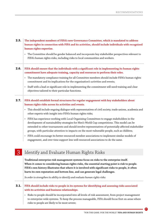- **The independent members of FIFA's new Governance Committee, which is mandated to address 2.5. human rights in connection with FIFA and its activities, should include individuals with recognized human rights expertise.**
	- The Committee should be gender balanced and incorporate key stakeholder perspectives relevant to FIFA's human rights risks, including risks to local communities and workers.
		-
- **FIFA should ensure that the individuals with a significant role in implementing its human rights 2.6. commitment have adequate training, capacity and resources to perform their roles.** 
	- The mandatory compliance training for all Committee members should include FIFA's human rights commitment and its implications for the organization's activities and events;
	- Staff with a lead or significant role in implementing the commitment will need training and clear objectives tailored to their particular functions.

- **FIFA should establish formal structures for regular engagement with key stakeholders about 2.7. human rights risks across its activities and events.**
	- This should include ongoing dialogue with representatives of civil society, trade unions, academia and other experts with insight into FIFA's human rights risks;
	- FIFA has experience working with Local Organising Committees to engage stakeholders in the development of sustainability strategies for Men's World Cup competitions. This model can be extended to other tournaments and should involve representatives of potentially affected stakeholder groups, with particular attention to impacts on the most vulnerable people, such as children;
	- FIFA could encourage its better-resourced member associations to implement similar models of engagement, and over time support less well-resourced associations to do the same.

#### 3 Identify and Evaluate Human Rights Risks

**Traditional enterprise risk management systems focus on risks to the enterprise itself. When it comes to considering human rights risks, the essential starting point is risk to people. FIFA's own history illustrates that where it is involved with significant risks to people, it often hurts its own reputation and bottom line, and can generate legal challenges.** 

*In order to strengthen its ability to identify and evaluate human rights risks:*

#### **FIFA should include risks to people in its systems for identifying and assessing risks associated 3.1.with its activities and business relationships.**

• Risks to people should be incorporated into all levels of risk assessment, from project management to enterprise-wide systems. To keep the process manageable, FIFA should focus first on areas where risks to people are likely to be most severe;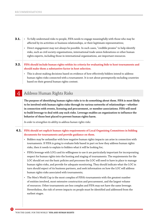- To fully understand risks to people, FIFA needs to engage meaningfully with those who may be **3.1.** affected by its activities or business relationships, or their legitimate representatives;
	- Direct engagement may not always be possible. In such cases, "credible proxies" to help identify risks, such as civil society organizations, international trade union federations or other human rights experts, including those in international organizations, are important resources.
- **FIFA should include human rights within its criteria for evaluating bids to host tournaments and 3.2. should make them a substantive factor in host selection.**

• This is about making decisions based on evidence of how effectively bidders intend to address human rights risks connected with a tournament. It is not about peremptorily excluding countries based on their general human rights context.

#### 4 Address Human Rights Risks

**The purpose of identifying human rights risks is to do something about them. FIFA is most likely to be involved with human rights risks through its various networks of relationships—whether in connection with events, licensing and procurement, or member associations. FIFA will need to build leverage to deal with any such risks. Leverage enables an organization to influence the behavior of those best placed to prevent human rights harm.** 

*In order to strengthen its ability to address human rights risks:* 

#### **FIFA should set explicit human rights requirements of Local Organising Committees in bidding 4.1.documents for tournaments and provide guidance on them.**

- Bidders may be unfamiliar with how negative human rights impacts can arise in connection with tournaments. If FIFA is going to evaluate bids based in part on how they address human rights risks, then it needs to explain to bidders what it will be looking for;
- FIFA's leverage with LOCs and its willingness to use it are particularly important for incorporating respect for human rights into the hosting and staging of tournaments. The requirements for the LOC should set out the basic policies and processes the LOC will need to have in place to manage human rights risks, and provide for adequate monitoring. They should indicate what the LOC in turn should expect of its business partners, and seek information on how the LOC will address human rights risks associated with tournaments;
- The Men's World Cup is the most complex of FIFA's tournaments with the greatest number of entities involved, most extensive construction and procurement, and the largest volume of resources. Other tournaments are less complex and FIFA may not have the same leverage. Nevertheless, the risk of severe impacts on people must be identified and addressed from the earliest stages.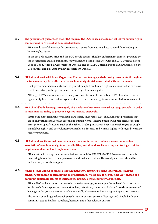| 4.2. | The government guarantees that FIFA requires the LOC to seek should reflect FIFA's human rights<br>commitment in Article 3 of its revised Statutes.                                                                                                                                                                                                                                                                                                   |
|------|-------------------------------------------------------------------------------------------------------------------------------------------------------------------------------------------------------------------------------------------------------------------------------------------------------------------------------------------------------------------------------------------------------------------------------------------------------|
|      | • FIFA should carefully review the exemptions it seeks from national laws to avoid their leading to<br>human rights harm;                                                                                                                                                                                                                                                                                                                             |
|      | In the area of security, FIFA and the LOC should request that law enforcement agencies provided by<br>the government are, at a minimum, fully trained to act in accordance with the 1979 United Nations<br>Code of Conduct for Law Enforcement Officials and the 1990 United Nations Basic Principles on the<br>Use of Force and Firearms by Law Enforcement Officials.                                                                               |
| 4.3. | FIFA should work with Local Organising Committees to engage their host governments throughout<br>the tournament cycle in efforts to reduce human rights risks associated with tournaments.                                                                                                                                                                                                                                                            |
|      | • Host governments have a duty both to protect people from human rights abuses as well as to ensure<br>that those acting in the government's name respect human rights;                                                                                                                                                                                                                                                                               |
|      | Although FIFA's relationships with host governments are not contractual, FIFA should seek every<br>opportunity to exercise its leverage in order to reduce human rights risks connected to tournaments.                                                                                                                                                                                                                                               |
| 4.4. | FIFA should build leverage into supply chain relationships from the earliest stage possible, in order<br>to maximize its ability to prevent negative impacts on people.                                                                                                                                                                                                                                                                               |
|      | Setting the right terms in contracts is particularly important. FIFA should include provisions that<br>are in line with internationally recognized human rights. It should utilize well-respected codes and<br>principles on specific issues, such as the Ethical Trading Initiative's Base Code with regard to supply<br>chain labor rights, and the Voluntary Principles on Security and Human Rights with regard to private<br>security providers. |
| 4.5. | FIFA should use its annual member associations' conferences to raise awareness of member<br>associations' own human rights responsibilities, and should use its existing mentoring activities to<br>help them understand and implement them.                                                                                                                                                                                                          |
|      | • FIFA works with many member associations through its PERFORMANCE Programme to provide<br>mentoring in relation to their governance and various activities. Human rights issues should be<br>included as part of this support.                                                                                                                                                                                                                       |
| 4.6. | Where FIFA is unable to reduce severe human rights impacts by using its leverage, it should<br>consider suspending or terminating the relationship. Where this is not possible FIFA should at a<br>minimum explain its efforts to mitigate the impacts as transparently as possible.                                                                                                                                                                  |
|      | FIFA will often have opportunities to increase its leverage, for example through collaboration with<br>local stakeholders, sponsors, international organizations, and others. It should use those sources of<br>leverage to the greatest extent possible, especially where severe human rights impacts are involved;                                                                                                                                  |
|      | The option of ending a relationship itself is an important source of leverage and should be clearly<br>communicated to bidders, suppliers, licensees and other relevant entities.                                                                                                                                                                                                                                                                     |

. <mark>3</mark>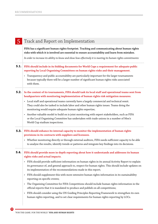| Track and Report on Implementation                                                                                                                                                                                                                                              |
|---------------------------------------------------------------------------------------------------------------------------------------------------------------------------------------------------------------------------------------------------------------------------------|
| FIFA has a significant human rights footprint. Tracking and communicating about human rights<br>risks with which it is involved are essential to ensure accountability and learn from mistakes.                                                                                 |
| In order to increase its ability to know and show how effectively it is meeting its human rights commitments:                                                                                                                                                                   |
| 5.1. FIFA should include in its bidding documents for World Cups a requirement for adequate public<br>reporting by Local Organising Committees on human rights risks and their management.                                                                                      |
| Transparency and public accountability are particularly important for the larger tournaments<br>because typically there will be a larger number of significant human rights risks associated<br>with them.                                                                      |
| <b>5.2.</b> In the context of its tournaments, FIFA should task its local staff and operational teams sent from<br>headquarters with monitoring implementation of human rights risk mitigation measures.                                                                        |
| • Local staff and operational teams currently have a largely commercial and technical remit.<br>They could also be tasked to include labor and other human rights issues. Teams doing the<br>monitoring would require adequate human rights expertise;                          |
| Another valuable model to build on is joint monitoring with expert stakeholders, such as FIFA<br>or the Local Organising Committee has undertaken with trade unions in a number of Men's<br>World Cup stadium inspections.                                                      |
| <b>5.3.</b> FIFA should enhance its internal capacity to monitor the implementation of human rights<br>provisions in its contracts with suppliers and licensees.                                                                                                                |
| • Whether monitoring directly or through external auditors, FIFA needs sufficient capacity to be able<br>to analyze the results, identify trends or patterns and integrate key findings into its decisions.                                                                     |
| <b>5.4.</b> FIFA should provide more in-depth reporting about how it understands and addresses its human<br>rights risks and actual impacts.                                                                                                                                    |
| • FIFA should provide sufficient information on human rights in its annual Activity Report to explain<br>its governance of, and general approach to, respect for human rights. This should include updates on<br>its implementation of the recommendations made in this report; |
| FIFA should supplement this with more extensive human rights information in its sustainability<br>reporting on specific events;                                                                                                                                                 |
| The Organising Committee for FIFA Competitions should include human rights information in the<br>$\bullet$<br>official reports that it is mandated to produce and publish on all competitions;                                                                                  |
| FIFA should consider using the UN Guiding Principles Reporting Framework to strengthen its own<br>human rights reporting, and to set clear requirements for human rights reporting by LOCs.                                                                                     |
|                                                                                                                                                                                                                                                                                 |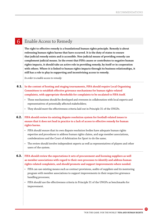### **6** Enable Access to Remedy

**The right to effective remedy is a foundational human rights principle. Remedy is about redressing human rights harms that have occurred. It is the duty of states to ensure that judicial remedy exists and is accessible. Non-judicial means of providing remedy can complement judicial means. In the event that FIFA causes or contributes to negative human rights impacts, it should take an active role in providing remedy, by itself or in cooperation with others. Where it is linked to human rights impacts through its business relationships, it still has a role to play in supporting and incentivizing access to remedy.** 

*In order to enable access to remedy:* 

| 6.1. In the context of hosting and staging tournaments, FIFA should require Local Organising |
|----------------------------------------------------------------------------------------------|
| : Committees to establish effective grievance mechanisms for human rights-related            |
| : complaints, with appropriate thresholds for complaints to be escalated to FIFA itself.     |

- These mechanisms should be developed and overseen in collaboration with local experts and representatives of potentially affected stakeholders;
- They should meet the effectiveness criteria laid out in Principle 31 of the UNGPs.
- 
- **FIFA should review its existing dispute resolution system for football-related issues to 6.2. ensure that it does not lead in practice to a lack of access to effective remedy for human rights harms.** 
	- FIFA should ensure that its own dispute resolution bodies have adequate human rights expertise and procedures to address human rights claims, and urge member associations, confederations and the Court of Arbitration for Sport to do the same;
	- The review should involve independent experts as well as representatives of players and other users of the system.
- **FIFA should review the expectations it sets of procurement and licensing suppliers as well 6.3.as member associations with regard to their own processes to identify and address human rights-related complaints, and should promote and support improvements where needed.**
	- FIFA can use existing means such as contract provisions, audits of suppliers and its mentoring program with member associations to support improvements in their respective grievance handling processes;
	- FIFA should use the effectiveness criteria in Principle 31 of the UNGPs as benchmarks for improvement.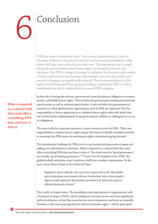## <span id="page-35-0"></span>Conclusion

FIFA has made an important start. Now comes implementation. Some of the steps outlined in the previous section can be enacted immediately, while others will take time to develop and take root. The appropriate test to apply along the way is evidence that human rights are being factored into key decisions, that FIFA is using its leverage to influence the decisions and conduct of those with whom it has business relationships, and that the number and severity of impacts are significantly reduced. The recommendations in this report should help speed this up by providing a roadmap for FIFA as well as benchmarks by which stakeholders can assess FIFA's progress.

At the risk of stating the obvious, governments have the primary obligation to respect, protect, and fulfill human rights. This includes the governments hosting international sports events as well as national sports bodies. It also includes the governments of countries in which global sports organizations such as FIFA are registered. But the responsibility of those organizations to address human rights risks with which they are involved exists independently of any government's abilities or willingness to act on its obligations.

The same holds for corporate sponsors, a major revenue source for FIFA. Their own responsibility to respect human rights means that they too should contribute actively to ensuring that FIFA meets its new human rights commitment going forward.

The foundational challenge for FIFA now is to go beyond putting words on paper and adding new administrative functions. What is required is a cultural shift that must affect everything FIFA does and how it does it. The result must be "good governance," not merely "good-looking governance.["56 T](#page-40-0)o put it in the simplest terms, FIFA, the global football enterprise, must transform itself into a modern organization. In the past, writes Simon Kuper in the *Financial Times:*

*Happily for sports officials, they were free to ignore the world. Most global sports federations were based in discreet Switzerland, where they enjoyed a degree of 'self-regulation' that bankers just dreamt of. And so the [sports] officials dismissed criticism.*[57](#page-40-0)

That world no longer exists. The prevailing social expectations of organizations with a footprint as large as FIFA's, which wield great economic power and exert significant political influence, is that they must become more transparent and more accountable. Nowhere is this more pressing than in relation to human rights—which, quite apart

**What is required is a cultural shift that must affect everything FIFA does and how it does it.**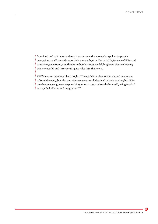<span id="page-36-0"></span>from hard and soft law standards, have become the vernacular spoken by people everywhere to affirm and assert their human dignity. The social legitimacy of FIFA and similar organizations, and therefore their business model, hinges on their embracing this new world, and incorporating its rules into their own.

FIFA's mission statement has it right: "The world is a place rich in natural beauty and cultural diversity, but also one where many are still deprived of their basic rights. FIFA now has an even greater responsibility to reach out and touch the world, using football as a symbol of hope and integration."[58](#page-40-0)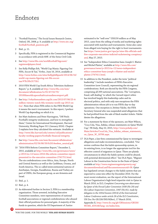### <span id="page-37-0"></span>Endnotes

- 1 ["Football Passions,"](#page-5-0) The Social Issues Research Centre, Oxford, UK, 2008, p. 9; available at [http://www.sirc.org/](http://www.sirc.org/football/football_passions.pdf) [football/football\\_passions.pdf.](http://www.sirc.org/football/football_passions.pdf)
- 2 [Ibid., p. 11.](#page-5-0)
- 3 [Specifically,](#page-5-0) FIFA is registered in the Commercial Register in accordance with article 60ff. of the Swiss Civil Code.
- 4 [See](#page-5-0) [http://www.fifa.com/worldfootball/bigcount/](http://www.fifa.com/worldfootball/bigcount/registeredplayers.html) [registeredplayers.html.](http://www.fifa.com/worldfootball/bigcount/registeredplayers.html)
- 5 [See Kelly Phillips Erb](#page-5-0), "World Cup Mania: Figuring Out FIFA, Soccer & Tax," *Forbes,* June 16, 2014, available at [http://www.forbes.com/sites/kellyphillipserb/2014/06/16/](http://www.forbes.com/sites/kellyphillipserb/2014/06/16/world-cup-mania-figuring-out-fifa-soccer-tax/#7b199c3171b1) [world-cup-mania-figuring-out-fifa-soccer](http://www.forbes.com/sites/kellyphillipserb/2014/06/16/world-cup-mania-figuring-out-fifa-soccer-tax/#7b199c3171b1)[tax/#7b199c3171b1.](http://www.forbes.com/sites/kellyphillipserb/2014/06/16/world-cup-mania-figuring-out-fifa-soccer-tax/#7b199c3171b1)
- 6 [2010 FIFA](#page-5-0) World Cup South Africa: Television Audience Report," p. 8, available at [http://www.fifa.com/mm/](http://www.fifa.com/mm/document/affederation/tv/01/47/32/73/2010fifaworldcupsouthafricatvaudiencereport.pdf) [document/affederation/tv/01/47/32/73/](http://www.fifa.com/mm/document/affederation/tv/01/47/32/73/2010fifaworldcupsouthafricatvaudiencereport.pdf) [2010fifaworldcupsouthafricatvaudiencereport.pdf.](http://www.fifa.com/mm/document/affederation/tv/01/47/32/73/2010fifaworldcupsouthafricatvaudiencereport.pdf)
- 7 [See](#page-5-0) [http://tvbythenumbers.zap2it.com/2015/07/06/25-4](http://tvbythenumbers.zap2it.com/2015/07/06/25-4-million-viewers-watch-fifa-womens-world-cup-2015-on-fox/) [million-viewers-watch-fifa-womens-world-cup-2015-on](http://tvbythenumbers.zap2it.com/2015/07/06/25-4-million-viewers-watch-fifa-womens-world-cup-2015-on-fox/)[fox/](http://tvbythenumbers.zap2it.com/2015/07/06/25-4-million-viewers-watch-fifa-womens-world-cup-2015-on-fox/). Note that when FIFA refers to the FIFA World Cup it means the men's tournament. In this report, I preface World Cup depending on which it is.
- 8 [See Matt](#page-6-0) Andrews and Peter Harrington, "Off Pitch: Football's integrity weaknesses, and how to strengthen them," Center for International Development, Harvard University, Working Paper 311 (January 2016). Chapter 2 explains how they calculated the estimate. Available at [http://www.hks.harvard.edu/centers/cid/publications/](http://www.hks.harvard.edu/centers/cid/publications/faculty-working-papers/footballs-financial-integrity) [faculty-working-papers/footballs-financial-integrity](http://www.hks.harvard.edu/centers/cid/publications/faculty-working-papers/footballs-financial-integrity).
- 9 [See](#page-6-0) [http://www.fifa.com/mm/document/affederation/](http://www.fifa.com/mm/document/affederation/administration/02/56/80/39/fr2014weben_neutral.pdf) [administration/02/56/80/39/fr2014weben\\_neutral.pdf](http://www.fifa.com/mm/document/affederation/administration/02/56/80/39/fr2014weben_neutral.pdf).
- 10 ["2016 FIFA](#page-6-0) Reform Committee Report," December 2, 2015, available at [http://www.fifa.com/governance/news/](http://www.fifa.com/governance/news/y=2015/m=12/news=2016-fifa-reform-committee-report-presented-to-the-executive-committee-2741751.html) [y=2015/m=12/news=2016-fifa-reform-committee-report](http://www.fifa.com/governance/news/y=2015/m=12/news=2016-fifa-reform-committee-report-presented-to-the-executive-committee-2741751.html)[presented-to-the-executive-committee-2741751.html.](http://www.fifa.com/governance/news/y=2015/m=12/news=2016-fifa-reform-committee-report-presented-to-the-executive-committee-2741751.html) The six confederations cover Africa, Asia, Europe, North and Central America as well as the Caribbean, Oceana, and South America. The so-called intercontinental nations of Azerbaijan, Georgia, Kazakhstan, Russia and Turkey are part of UEFA, the European group, as are Armenia and Israel.
- 11 [Ibid., p. 1.](#page-6-0)
- 12 [Ibid., p. 4.](#page-6-0)

**38**

13 [As elaborated](#page-6-0) further in Section 3, FIFA is a membership organization. Those arrested, including Executive Committee members, were representatives of national football associations or regional confederations who abused their official positions for personal gain. A majority of the funds in question, which the US Department of Justice

estimated to be "well over" US\$150 million as of May 2015, came from the selling of media and marketing rights associated with matches and tournaments. Some also came from alleged vote buying for the right to host tournaments. See [https://www.justice.gov/opa/pr/nine-fifa-officials-and](https://www.justice.gov/opa/pr/nine-fifa-officials-and-five-corporate-executives-indicted-racketeering-conspiracy-and)[five-corporate-executives-indicted-racketeering-conspiracy](https://www.justice.gov/opa/pr/nine-fifa-officials-and-five-corporate-executives-indicted-racketeering-conspiracy-and)[and,](https://www.justice.gov/opa/pr/nine-fifa-officials-and-five-corporate-executives-indicted-racketeering-conspiracy-and) May 27, 2015.

- 14 [See](#page-6-0) "Independent Ethics Committee bans Joseph S. Blatter and Michel Platini," available at [http://www.fifa.com/](http://www.fifa.com/governance/news/y=2015/m=12/news=independent-ethics-committee-bans-joseph-s-blatter-and-michel-platini-2747411.html) [governance/news/y=2015/m=12/news=independent](http://www.fifa.com/governance/news/y=2015/m=12/news=independent-ethics-committee-bans-joseph-s-blatter-and-michel-platini-2747411.html)[ethics-committee-bans-joseph-s-blatter-and-michel](http://www.fifa.com/governance/news/y=2015/m=12/news=independent-ethics-committee-bans-joseph-s-blatter-and-michel-platini-2747411.html)[platini-2747411.html.](http://www.fifa.com/governance/news/y=2015/m=12/news=independent-ethics-committee-bans-joseph-s-blatter-and-michel-platini-2747411.html)
- 15 [In addition t](#page-7-0)o the President, under the term "political leadership" I include members of FIFA's Executive Committee (now Council), representing the six regional confederations. Both are elected by the FIFA Congress, comprising all 209 national associations. The "corruption, fraud, self-dealing" to which the Carrard report refers has involved largely this leadership cadre and its electoral politics, and with only rare exceptions the FIFA administration whose job is to run FIFA's day-to-day operations. One exception is Jérôme Valcke, the FIFA Secretary General who was suspended amid allegations that he had profited from the sale of black market tickets. Valcke denies the allegations.
- 16 [For a statement](#page-7-0) by three of the sponsors, see Matt Wilson, "Coca Cola, Visa, Adidas, release statements on Qatar World Cup," *PR Daily*, May 22, 2015, [http://www.prdaily.com/](http://www.prdaily.com/Main/Articles/CocaCola_Visa_Adidas_release_statements_on_Qatar_W_18706.aspx) [Main/Articles/CocaCola\\_Visa\\_Adidas\\_release\\_statements\\_](http://www.prdaily.com/Main/Articles/CocaCola_Visa_Adidas_release_statements_on_Qatar_W_18706.aspx) [on\\_Qatar\\_W\\_18706.aspx.](http://www.prdaily.com/Main/Articles/CocaCola_Visa_Adidas_release_statements_on_Qatar_W_18706.aspx)
- 17 [DLA Piper,](#page-7-0) a law firm commissioned by Qatar to investigate allegations and make recommendations, concluded, "Our review confirms that the *kafala* sponsorship system, in its existing form, is no longer the appropriate tool for the effective control of migration in Qatar. There are plainly circumstances in which the *kafala* system could be abused, with potential detrimental effect." See DLA Piper, "Migrant Labour in the Construction Sector in the State of Qatar," available at [http://www.engineersagainstpoverty.org/](http://www.engineersagainstpoverty.org/documentdownload.axd?documentresourceid=58) [documentdownload.axd?documentresourceid=58](http://www.engineersagainstpoverty.org/documentdownload.axd?documentresourceid=58). Qatar has legislated certain changes to the *kafala* system that are expected to come into effect by December 2016. For the most recent evaluation, see the report of the International Labour Organization's high-level tripartite visit to Qatar in March 2016, in ILO, *Complaint Concerning non-observance by Qatar of the Forced Labor Convention 1930 (No 29) and the Labour Inspection Convention, 1947 (No 81), made by delegates to the 103rd Session (2014) of the International Labour Conference under article 26 of the ILO Constitution*, UN Doc No GB.326/INS/8(Rev), 17 March 2016, Appendix II, [http://www.ilo.org/gb/GBSessions/GB326/](http://www.ilo.org/gb/GBSessions/GB326/WCMS_459148/lang--en/index.htm) [WCMS\\_459148/lang--en/index.htm.](http://www.ilo.org/gb/GBSessions/GB326/WCMS_459148/lang--en/index.htm)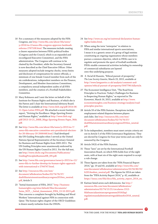- <span id="page-38-0"></span>18 [For a summary](#page-7-0) of the measures adopted by the FIFA Congress, see [http://www.fifa.com/about-fifa/news/](http://www.fifa.com/about-fifa/news/y=2016/m=2/news=fifa-congress-approves-landmark-reforms-2767108.html) [y=2016/m=2/news=fifa-congress-approves-landmark](http://www.fifa.com/about-fifa/news/y=2016/m=2/news=fifa-congress-approves-landmark-reforms-2767108.html)[reforms-2767108.html.](http://www.fifa.com/about-fifa/news/y=2016/m=2/news=fifa-congress-approves-landmark-reforms-2767108.html) The measures include creating a clearer separation between FIFA's political bodies (Congress and the Council, which is an expanded and reconfigured Executive Committee), and the FIFA administration. The Congress will continue to be chaired by the President, while the Secretary General is now described as the Chief Executive Officer. Other measures adopted include integrity checks, terms limits and disclosure of compensation for senior officials, a minimum of one female Council member from each of the six confederations, independent members on the Finance, Development, and Member Associations Committees, a compulsory annual independent audits of all FIFA members, and the creation of a Football Stakeholders Committee.
- 19 [Mary Robinson](#page-7-0) and I sent the letter on behalf of the Institute for Human Rights and Business, of which she is the Patron and I chair the International Advisory Board. The letter is available at [http://www.ihrb.org/pdf/2014-06-](http://www.ihrb.org/pdf/2014-06-11-Open-Letter-FIFA.pdf) [11-Open-Letter-FIFA.pdf](http://www.ihrb.org/pdf/2014-06-11-Open-Letter-FIFA.pdf). We attached a recent Institute report, "Striving for Excellence: Mega-Sporting Events and Human Rights," available at [http://www.ihrb.org/](http://www.ihrb.org/pdf/2013-10-21_IHRB_Mega-Sporting-Events-Paper_Web.pdf) [pdf/2013-10-21\\_IHRB\\_Mega-Sporting-Events-Paper\\_Web.](http://www.ihrb.org/pdf/2013-10-21_IHRB_Mega-Sporting-Events-Paper_Web.pdf) [pdf](http://www.ihrb.org/pdf/2013-10-21_IHRB_Mega-Sporting-Events-Paper_Web.pdf).
- 20 [See](#page-8-0) [http://www.fifa.com/about-fifa/news/y=2015/m=7/](http://www.fifa.com/about-fifa/news/y=2015/m=7/news=fifa-executive-committee-sets-presidential-election-for-26-february-20-2666448.html) [news=fifa-executive-committee-sets-presidential-election](http://www.fifa.com/about-fifa/news/y=2015/m=7/news=fifa-executive-committee-sets-presidential-election-for-26-february-20-2666448.html)[for-26-february-20-2666448.html](http://www.fifa.com/about-fifa/news/y=2015/m=7/news=fifa-executive-committee-sets-presidential-election-for-26-february-20-2666448.html). I had developed the UN Guiding Principles when I served as the United Nations Special Representative of the Secretary-General for Business and Human Rights from 2005-2011. The UN Guiding Principles were unanimously endorsed by the UN Human Rights Council in 2011. For the full text, see [http://www.ohchr.org/Documents/Publications/](http://www.ohchr.org/Documents/Publications/GuidingPrinciplesBusinessHR_EN.pdf) [GuidingPrinciplesBusinessHR\\_EN.pdf](http://www.ohchr.org/Documents/Publications/GuidingPrinciplesBusinessHR_EN.pdf).
- 21 [See](#page-8-0) [http://www.fifa.com/governance/news/y=2015/m=12/](http://www.fifa.com/governance/news/y=2015/m=12/news=fifa-to-further-develop-its-human-rights-approach-with-international-e-2744747.html) [news=fifa-to-further-develop-its-human-rights-approach](http://www.fifa.com/governance/news/y=2015/m=12/news=fifa-to-further-develop-its-human-rights-approach-with-international-e-2744747.html)[with-international-e-2744747.html](http://www.fifa.com/governance/news/y=2015/m=12/news=fifa-to-further-develop-its-human-rights-approach-with-international-e-2744747.html).
- 22 [See](#page-8-0) [http://resources.fifa.com/mm/](http://resources.fifa.com/mm/document/affederation/bodies/02/74/76/37/draftfifastatutesextraordinarycongress2016en_neutral.pdf) [document/affederation/bodies/02/74/76/37/](http://resources.fifa.com/mm/document/affederation/bodies/02/74/76/37/draftfifastatutesextraordinarycongress2016en_neutral.pdf) [draftfifastatutesextraordinarycongress2016en\\_neutral.](http://resources.fifa.com/mm/document/affederation/bodies/02/74/76/37/draftfifastatutesextraordinarycongress2016en_neutral.pdf) [pdf](http://resources.fifa.com/mm/document/affederation/bodies/02/74/76/37/draftfifastatutesextraordinarycongress2016en_neutral.pdf), Article 3.
- 23 ["Initial Assessment](#page-9-0) of FIFA, 2015." [http://business](http://business-humanrights.org/sites/default/files/documents/Swiss_NCP_-_Initial_Assessment_FIFA_13-10-2015.pdf)[humanrights.org/sites/default/files/documents/](http://business-humanrights.org/sites/default/files/documents/Swiss_NCP_-_Initial_Assessment_FIFA_13-10-2015.pdf) [Swiss\\_NCP\\_-\\_Initial\\_Assessment\\_FIFA\\_13-10-2015.pdf.](http://business-humanrights.org/sites/default/files/documents/Swiss_NCP_-_Initial_Assessment_FIFA_13-10-2015.pdf) This concerns a complaint brought by Building and Wood Workers' International against FIFA in connection with Qatar. The human rights chapter of the OECD Guidelines is drawn nearly verbatim from the UNGPs.
- 24 [See](#page-9-0) [http://www.un.org/en/universal-declaration-human](http://www.un.org/en/universal-declaration-human-rights/index.html)[rights/index.html](http://www.un.org/en/universal-declaration-human-rights/index.html).
- 25 [When using the term](#page-10-0) "enterprise" in relation to FIFA and similar international sports associations, I mean it in a generic sense of a group of legal entities constituting an ongoing organization whose members pursue a common objective, which in FIFA's case is to regulate and promote the sport of football worldwide. FIFA's sizable commercial activities including its ownership of commercial subsidiaries are layered onto this underlying purpose.
- [26 Z. Ra'ad Al Hussein,](#page-10-0) "Ethical pursuit of prosperity," *The Law Society Gazette,* March 23, 2015, available at [http://www.lawgazette.co.uk/analysis/comment-and](http://www.lawgazette.co.uk/analysis/comment-and-opinion/ethical-pursuit-of-prosperity/5047796.fullarticle)[opinion/ethical-pursuit-of-prosperity/5047796.fullarticle](http://www.lawgazette.co.uk/analysis/comment-and-opinion/ethical-pursuit-of-prosperity/5047796.fullarticle).
- 27 [The Economist Intelligence Unit,](#page-10-0) "The Road from Principles to Practices: Today's Challenges for Business in Respecting Human Rights," as reported in *The Economist,* March 16, 2015, available at [http://www.](http://www.economistinsights.com/business-strategy/analysis/road-principles-practice) [economistinsights.com/business-strategy/analysis/road](http://www.economistinsights.com/business-strategy/analysis/road-principles-practice)[principles-practice](http://www.economistinsights.com/business-strategy/analysis/road-principles-practice).
- 28 [Article 59 of the FIFA Statutes.](#page-14-0) Exceptions include employment-related disputes between players and clubs. See [http://resources.fifa.com/mm/](http://resources.fifa.com/mm/document/affederation/bodies/02/74/76/37/draftfifastatutesextraordinarycongress2016en_neutral.pdf) [document/affederation/bodies/02/74/76/37/](http://resources.fifa.com/mm/document/affederation/bodies/02/74/76/37/draftfifastatutesextraordinarycongress2016en_neutral.pdf) [draftfifastatutesextraordinarycongress2016en\\_neutral.](http://resources.fifa.com/mm/document/affederation/bodies/02/74/76/37/draftfifastatutesextraordinarycongress2016en_neutral.pdf) [pdf.](http://resources.fifa.com/mm/document/affederation/bodies/02/74/76/37/draftfifastatutesextraordinarycongress2016en_neutral.pdf)
- 29 [To be independent,](#page-14-0) members must meet certain criteria set out in Article 5 of the FIFA Governance Regulations. They are elected by Congress for four-year terms and can only be removed by the Congress.
- 30 [Article 59\(3\) of the FIFA Statutes.](#page-15-0)
- 31 [These "laws" are set](#page-15-0) by the International Football Association Board, on which FIFA holds four of the eight seats, with at least six of the eight seats required to accept a rule change.
- [32](#page-16-0) These figures are taken from the "FIFA Financial Report 2014," pp. 19 and 45, available at [http://www.fifa.com/](http://www.fifa.com/mm/document/affederation/administration/02/56/80/39/fr2014weben_neutral.pdf) [mm/document/affederation/administration/02/56/80/39/](http://www.fifa.com/mm/document/affederation/administration/02/56/80/39/fr2014weben_neutral.pdf) [fr2014weben\\_neutral.pdf](http://www.fifa.com/mm/document/affederation/administration/02/56/80/39/fr2014weben_neutral.pdf). The figures for 2014 are taken from the "FIFA Activity Report 2014," p. 42, available at [https://issuu.com/fifa/docs/fifa\\_activity\\_report\\_2014\\_en](https://issuu.com/fifa/docs/fifa_activity_report_2014_en).
- 33 [Kattner listed seven such deficiencies](#page-16-0). See [http://](http://resources.fifa.com/mm/document/affederation/administration/02/74/15/21/circularno.1512-fifafinancialassistanceprogramme2016(fap)regulationsandadministrativeguidelinesfor2016_neutral.pdf) [resources.fifa.com/mm/document/affederation/](http://resources.fifa.com/mm/document/affederation/administration/02/74/15/21/circularno.1512-fifafinancialassistanceprogramme2016(fap)regulationsandadministrativeguidelinesfor2016_neutral.pdf) [administration/02/74/15/21/circularno.1512](http://resources.fifa.com/mm/document/affederation/administration/02/74/15/21/circularno.1512-fifafinancialassistanceprogramme2016(fap)regulationsandadministrativeguidelinesfor2016_neutral.pdf) [fifafinancialassistanceprogramme2016\(fap\)](http://resources.fifa.com/mm/document/affederation/administration/02/74/15/21/circularno.1512-fifafinancialassistanceprogramme2016(fap)regulationsandadministrativeguidelinesfor2016_neutral.pdf) [regulationsandadministrativeguidelinesfor2016\\_neutral.](http://resources.fifa.com/mm/document/affederation/administration/02/74/15/21/circularno.1512-fifafinancialassistanceprogramme2016(fap)regulationsandadministrativeguidelinesfor2016_neutral.pdf) [pdf.](http://resources.fifa.com/mm/document/affederation/administration/02/74/15/21/circularno.1512-fifafinancialassistanceprogramme2016(fap)regulationsandadministrativeguidelinesfor2016_neutral.pdf)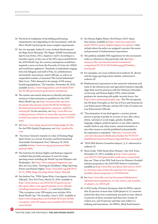- <span id="page-39-0"></span>34 [The level of complexity of the bidding](#page-16-0) and hosting requirements vary depending on the tournament, with the Men's World Cup having the most complex requirements.
- 35 [See, for example, Andre M. Louw,](#page-17-0) *Ambush Marketing and the Mega-Event Monopoly,* The Hague: ASSER International Sports Law Series, 2012, chapters 2 and 4. According to a *Guardian* report, in the case of the UK's unsuccessful bid for the 2018 World Cup, the currency exemptions would have required a carve-out from the Proceeds of Crime Act (2002), and would have applied to "hundreds of individuals ranging from the delegates and staff of Fifa, its confederations and member associations, match officials, as well as an unspecified number of unnamed 'Fifa Listed Individuals'." Matt Scott, "Fifa's demand to be exempt of UK moneylaundering legislation," *The Guardian,* November 30, 2010, available at [http://www.theguardian.com/football/2010/](http://www.theguardian.com/football/2010/dec/01/fifa-government-government-exemptions) [dec/01/fifa-government-government-exemptions](http://www.theguardian.com/football/2010/dec/01/fifa-government-government-exemptions).
- 36 [The system uses match observers](#page-18-0) to identify and report instances of discrimination in qualifiers for the 2018 Men's World Cup: see [http://resources.fifa.com/mm/](http://resources.fifa.com/mm/document/afsocial/anti-racism/02/60/42/16/fifaanti-discriminationmonitoringsystem_summary_may2015_neutral.pdf) [document/afsocial/anti-racism/02/60/42/16/fifaanti](http://resources.fifa.com/mm/document/afsocial/anti-racism/02/60/42/16/fifaanti-discriminationmonitoringsystem_summary_may2015_neutral.pdf)[discriminationmonitoringsystem\\_summary\\_may2015\\_](http://resources.fifa.com/mm/document/afsocial/anti-racism/02/60/42/16/fifaanti-discriminationmonitoringsystem_summary_may2015_neutral.pdf) [neutral.pdf.](http://resources.fifa.com/mm/document/afsocial/anti-racism/02/60/42/16/fifaanti-discriminationmonitoringsystem_summary_may2015_neutral.pdf) On the sanctions, see [http://www.fifa.com/](http://www.fifa.com/worldcup/news/y=2016/m=1/news=fifa-sanctions-several-football-associations-after-discriminatory-chan-2755350.html) [worldcup/news/y=2016/m=1/news=fifa-sanctions-several](http://www.fifa.com/worldcup/news/y=2016/m=1/news=fifa-sanctions-several-football-associations-after-discriminatory-chan-2755350.html)[football-associations-after-discriminatory-chan-2755350.](http://www.fifa.com/worldcup/news/y=2016/m=1/news=fifa-sanctions-several-football-associations-after-discriminatory-chan-2755350.html) [html](http://www.fifa.com/worldcup/news/y=2016/m=1/news=fifa-sanctions-several-football-associations-after-discriminatory-chan-2755350.html).
- 37 [See](#page-18-0) [http://www.wfsgi.org/services/wfsgi-pledge-for-fifa.](http://www.wfsgi.org/services/wfsgi-pledge-for-fifa) For the FIFA Quality Programme, see [http://quality.fifa.](http://quality.fifa.com) [com](http://quality.fifa.com).
- [38 "Secretary-General's](#page-19-0) remarks on value of Hosting Mega Sport Events as a Social, Economic and Environmental Sustainable Development Tool," February 16, 2016, available at [http://www.un.org/sg/statements/index.](http://www.un.org/sg/statements/index.asp?nid=9468) [asp?nid=9468.](http://www.un.org/sg/statements/index.asp?nid=9468)
- 39 [The Institute for Human Rights a](#page-20-0)nd Business supports a website that provides synopses of cases for megasporting events including the World Cup and Olympics and Paralympics. See <http://www.megasportingevents.org/>. Also see Lucy Amis, "Striving for Excellence: Mega-Sporting Events and Human Rights," [http://www.ihrb.org/pdf/2013-](http://www.ihrb.org/pdf/2013-10-21_IHRB_Mega-Sporting-Events-Paper_Web.pdf) [10-21\\_IHRB\\_Mega-Sporting-Events-Paper\\_Web.pdf.](http://www.ihrb.org/pdf/2013-10-21_IHRB_Mega-Sporting-Events-Paper_Web.pdf)
- 40 [See Andrew Das,](#page-20-0) "FIFA Opens Ethics Case Against German Officials," *New York Times*, March 23, 2016, available at [http://www.nytimes.com/2016/03/23/sports/soccer/](http://www.nytimes.com/2016/03/23/sports/soccer/fifa-opens-ethics-case-against-german-soccer-officials-including-beckenbauer.html?_r=0) [fifa-opens-ethics-case-against-german-soccer-officials](http://www.nytimes.com/2016/03/23/sports/soccer/fifa-opens-ethics-case-against-german-soccer-officials-including-beckenbauer.html?_r=0)[including-beckenbauer.html?\\_r=0](http://www.nytimes.com/2016/03/23/sports/soccer/fifa-opens-ethics-case-against-german-soccer-officials-including-beckenbauer.html?_r=0), and Owen Gibson, "Fifa corruption crisis: FBI inquiry now includes 2014 Brazil World Cup," *The Guardian*, June 4, 2015, available at [http://www.theguardian.com/football/2015/jun/04/fifa](http://www.theguardian.com/football/2015/jun/04/fifa-corruption-crisis-fbi-inquiry-now-includes-2014-world-cup-in-brazil)[corruption-crisis-fbi-inquiry-now-includes-2014-world](http://www.theguardian.com/football/2015/jun/04/fifa-corruption-crisis-fbi-inquiry-now-includes-2014-world-cup-in-brazil)[cup-in-brazil.](http://www.theguardian.com/football/2015/jun/04/fifa-corruption-crisis-fbi-inquiry-now-includes-2014-world-cup-in-brazil)
- 41 [See Human Rights Watch,](#page-21-0) *World Report 2015: Papua New Guinea,* available at [https://www.hrw.org/world](https://www.hrw.org/world-report/2015/country-chapters/papua-new-guinea)[report/2015/country-chapters/papua-new-guinea](https://www.hrw.org/world-report/2015/country-chapters/papua-new-guinea). Cases include where the police are assigned to protect the assets and personnel of multinational corporations.
- 42 [The publicly available FIFA](#page-21-0) regulations for the tournament make no reference to this particular risk. See [http://](http://resources.fifa.com/mm/document/tournament/competition/02/73/21/66/fu20wwcpng2016weben_neutral.pdf) [resources.fifa.com/mm/document/tournament/](http://resources.fifa.com/mm/document/tournament/competition/02/73/21/66/fu20wwcpng2016weben_neutral.pdf) [competition/02/73/21/66/fu20wwcpng2016weben\\_](http://resources.fifa.com/mm/document/tournament/competition/02/73/21/66/fu20wwcpng2016weben_neutral.pdf) [neutral.pdf.](http://resources.fifa.com/mm/document/tournament/competition/02/73/21/66/fu20wwcpng2016weben_neutral.pdf)
- 43 [For examples, see Louw](#page-22-0) (referenced in endnote 35, above); and the mega-sporting events website, referenced in endnote 39.
- 44 [Multinational corporations](#page-23-0) in the extractive industries and some in the infrastructure and agriculture business typically align their security practices with the Voluntary Principles on Security and Human Rights (VPs), which include guidance for interacting with public security forces. See <http://www.voluntaryprinciples.org/>. The VPs incorporate the UN Basic Principles on the Use of Force and Firearms by Law Enforcement Officials, and the UN Code of Conduct for Law Enforcement Officials.
- 45 ["Discrimination of any kind against](#page-23-0) a country, private person or group of people on account of race, skin colour, ethnic, national or social origin, gender, disability, language, religion, political opinion or any other opinion, wealth, birth or any other status, sexual orientation or any other reason is strictly prohibited and punishable by suspension or expulsion." See [http://resources.fifa.](http://resources.fifa.com/mm/document/affederation/bodies/02/74/76/37/draftfifastatutesextraordinarycongress2016en_neutral.pdf) [com/mm/document/affederation/bodies/02/74/76/37/](http://resources.fifa.com/mm/document/affederation/bodies/02/74/76/37/draftfifastatutesextraordinarycongress2016en_neutral.pdf) [draftfifastatutesextraordinarycongress2016en\\_neutral.pdf](http://resources.fifa.com/mm/document/affederation/bodies/02/74/76/37/draftfifastatutesextraordinarycongress2016en_neutral.pdf).
- 46 ["2016 FIFA Reform Committee Report,](#page-23-0)" p. 9, referenced in endnote 10.
- 47 [Moya Dodd, "FIFA Needs More Women,](#page-24-0)" *New York Times*, November 19, 2015, available at [http://www.nytimes.](http://www.nytimes.com/2015/11/20/opinion/fifa-needs-more-women.html) [com/2015/11/20/opinion/fifa-needs-more-women.html.](http://www.nytimes.com/2015/11/20/opinion/fifa-needs-more-women.html) Also see "Chair of the FIFA Task Force for Women's Football submits proposals to the 2016 FIFA Reform Committee," available at [http://www.fifa.com/about-fifa/news/y=2015/](http://www.fifa.com/about-fifa/news/y=2015/m=10/news=chair-of-the-fifa-task-force-for-women-s-football-submits-proposals-to-2722358.html) [m=10/news=chair-of-the-fifa-task-force-for-women-s](http://www.fifa.com/about-fifa/news/y=2015/m=10/news=chair-of-the-fifa-task-force-for-women-s-football-submits-proposals-to-2722358.html)[football-submits-proposals-to-2722358.html](http://www.fifa.com/about-fifa/news/y=2015/m=10/news=chair-of-the-fifa-task-force-for-women-s-football-submits-proposals-to-2722358.html).
- 48 [See](#page-24-0) [http://www.fifa.com/mm/document/affederation/](http://www.fifa.com/mm/document/affederation/administration/regulations_on_the_status_and_transfer_of_players_en_33410.pdf) [administration/regulations\\_on\\_the\\_status\\_and\\_transfer\\_](http://www.fifa.com/mm/document/affederation/administration/regulations_on_the_status_and_transfer_of_players_en_33410.pdf) [of\\_players\\_en\\_33410.pdf.](http://www.fifa.com/mm/document/affederation/administration/regulations_on_the_status_and_transfer_of_players_en_33410.pdf)
- 49 [A 2012 study of Eastern European clubs](#page-24-0) by FIFPro reports that 42 percent of more than 3,000 players in 12 countries stated that they were consistently not paid on time. Almost 12 percent of those surveyed said they were victims of violent acts, and 10 percent said they were subject to bullying and harassment. See FIFPro, Black Book Eastern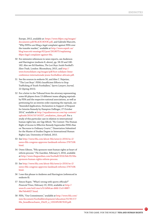<span id="page-40-0"></span>Europe, 2012, available at: [https://www.fifpro.org/images/](https://www.fifpro.org/images/documents-pdf/BLACK-BOOK.pdf) [documents-pdf/BLACK-BOOK.pdf,](https://www.fifpro.org/images/documents-pdf/BLACK-BOOK.pdf) and Gabriele Marcotti, "Why FIFPro are filing a legal complaint against FIFA over the transfer market," available at [http://www.espnfc.us/](http://www.espnfc.us/blog/marcotti-musings/62/post/2618075/explaining-fifpro-legal-complaint-against-fifa) [blog/marcotti-musings/62/post/2618075/explaining](http://www.espnfc.us/blog/marcotti-musings/62/post/2618075/explaining-fifpro-legal-complaint-against-fifa)[fifpro-legal-complaint-against-fifa.](http://www.espnfc.us/blog/marcotti-musings/62/post/2618075/explaining-fifpro-legal-complaint-against-fifa)

- 50 [For extensive references to news reports](#page-24-0), see Anderson and Harrington (endnote 8, above), pp. 58-59 and 180- 182. Also see Ed Hawkins, *The Lost Boys: Inside Football's Slave Trade,* London: Bloomsbury, 2015, and [http://](http://www.footsolidaire.org/images/pdf/foot-solidaire-3eme-conference-internationale-jeune-footballeur-africain.pdf) [www.footsolidaire.org/images/pdf/foot-solidaire-3eme](http://www.footsolidaire.org/images/pdf/foot-solidaire-3eme-conference-internationale-jeune-footballeur-africain.pdf)[conference-internationale-jeune-footballeur-africain.pdf](http://www.footsolidaire.org/images/pdf/foot-solidaire-3eme-conference-internationale-jeune-footballeur-africain.pdf).
- 51 [See the sources in endnote](#page-24-0) 50, and Alex C. Najarian, "'The Lost Boys': FIFA's Insufficient Efforts to Stop Trafficking of Youth Footballers," *Sports Lawyers Journal,* 22 (Spring 2015).
- 52 [For a letter to the Tribunal from the attorney](#page-25-0) representing some 60 players from 13 different teams alleging reprisals by FIFA and the respective national associations, as well as petitioning for an interim order enjoining the reprisals, see "Amended Application, Declaration in Support of Request for Interim Remedy by Hampton Dellinger, 27 October 2014," available at [http://equalizersoccer.com/wp-content/](http://equalizersoccer.com/wp-content/uploads/2014/10/141027_retaliation_claim.pdf) [uploads/2014/10/141027\\_retaliation\\_claim.pdf.](http://equalizersoccer.com/wp-content/uploads/2014/10/141027_retaliation_claim.pdf) For a study of this particular case in relation to international human rights law, see Gigi Alford, "No Contest: The Human Right of Access to Effective Remedy Supersedes FIFA's Ban on 'Recourse to Ordinary Courts'," Dissertation Submitted for the Master of Studies Degree in International Human Rights Law, University of Oxford, 2015.
- 53 [See](#page-27-0) [http://www.fifa.com/about-fifa/news/y=2016/m=2/](http://www.fifa.com/about-fifa/news/y=2016/m=2/news=fifa-congress-approves-landmark-reforms-2767108.html) [news=fifa-congress-approves-landmark-reforms-2767108.](http://www.fifa.com/about-fifa/news/y=2016/m=2/news=fifa-congress-approves-landmark-reforms-2767108.html) [html.](http://www.fifa.com/about-fifa/news/y=2016/m=2/news=fifa-congress-approves-landmark-reforms-2767108.html)
- 54 [Owen Gibson, "Fifa sponsors want human right](#page-27-0)s at heart of reform process," *The Guardian,* February 5, 2016, available at [http://www.theguardian.com/football/2016/feb/05/fifa](http://www.theguardian.com/football/2016/feb/05/fifa-sponsors-human-rights-reform-process)[sponsors-human-rights-reform-process](http://www.theguardian.com/football/2016/feb/05/fifa-sponsors-human-rights-reform-process).
- 55 [See](#page-27-0) [http://www.fifa.com/about-fifa/news/y=2016/m=2/](http://www.fifa.com/about-fifa/news/y=2016/m=2/news=fifa-congress-approves-landmark-reforms-2767108.html) [news=fifa-congress-approves-landmark-reforms-2767108.](http://www.fifa.com/about-fifa/news/y=2016/m=2/news=fifa-congress-approves-landmark-reforms-2767108.html) [html.](http://www.fifa.com/about-fifa/news/y=2016/m=2/news=fifa-congress-approves-landmark-reforms-2767108.html)
- 56 [I owe this phrase to Andrews and Harrington](#page-35-0) (referenced in endnote 8).
- 57 [Simon Kuper, "What's wrong with sports officials?"](#page-35-0) *Financial Times,* February 19, 2016, available at [http://](http://www.ft.com/intl/cms/s/0/cbfbfcae-d4fd-11e5-8887-98e7feb46f27.html) [www.ft.com/intl/cms/s/0/cbfbfcae-d4fd-11e5-8887-](http://www.ft.com/intl/cms/s/0/cbfbfcae-d4fd-11e5-8887-98e7feb46f27.html) [98e7feb46f27.html](http://www.ft.com/intl/cms/s/0/cbfbfcae-d4fd-11e5-8887-98e7feb46f27.html).
- 58 [FIFA, "Our Commitment," available](#page-36-0) at [http://www.fifa.com/](http://www.fifa.com/mm/document/footballdevelopment/education/55/95/17/fifa_brandbroschuere_23x23_e_13324%5B1%5D.pdf) [mm/document/footballdevelopment/education/55/95/17/](http://www.fifa.com/mm/document/footballdevelopment/education/55/95/17/fifa_brandbroschuere_23x23_e_13324%5B1%5D.pdf) [fifa\\_brandbroschuere\\_23x23\\_e\\_13324%5B1%5D.pdf](http://www.fifa.com/mm/document/footballdevelopment/education/55/95/17/fifa_brandbroschuere_23x23_e_13324%5B1%5D.pdf).